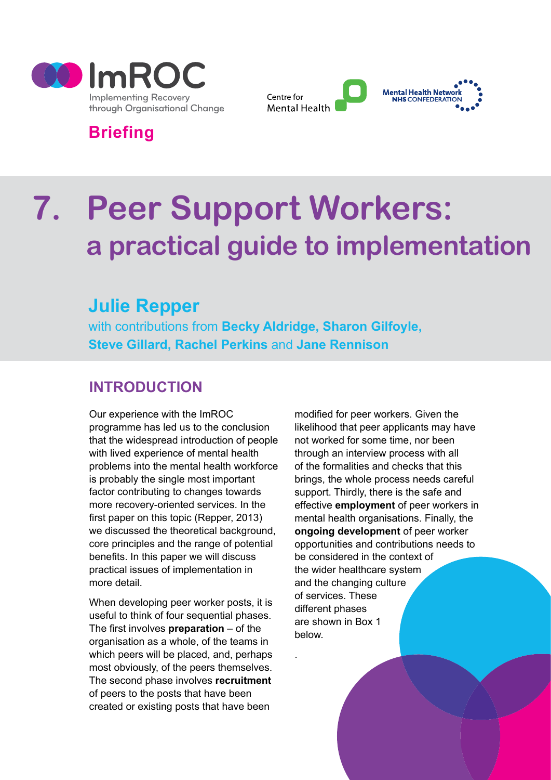



# **Briefing**

# **7. Peer Support Workers: a practical guide to implementation**

.

# **Julie Repper**

with contributions from **Becky Aldridge, Sharon Gilfoyle, Steve Gillard, Rachel Perkins** and **Jane Rennison**

# **INTRODUCTION**

Our experience with the ImROC programme has led us to the conclusion that the widespread introduction of people with lived experience of mental health problems into the mental health workforce is probably the single most important factor contributing to changes towards more recovery-oriented services. In the first paper on this topic (Repper, 2013) we discussed the theoretical background, core principles and the range of potential benefits. In this paper we will discuss practical issues of implementation in more detail.

When developing peer worker posts, it is useful to think of four sequential phases. The first involves **preparation** – of the organisation as a whole, of the teams in which peers will be placed, and, perhaps most obviously, of the peers themselves. The second phase involves **recruitment** of peers to the posts that have been created or existing posts that have been

modified for peer workers. Given the likelihood that peer applicants may have not worked for some time, nor been through an interview process with all of the formalities and checks that this brings, the whole process needs careful support. Thirdly, there is the safe and effective **employment** of peer workers in mental health organisations. Finally, the **ongoing development** of peer worker opportunities and contributions needs to be considered in the context of the wider healthcare system and the changing culture of services. These different phases are shown in Box 1 below.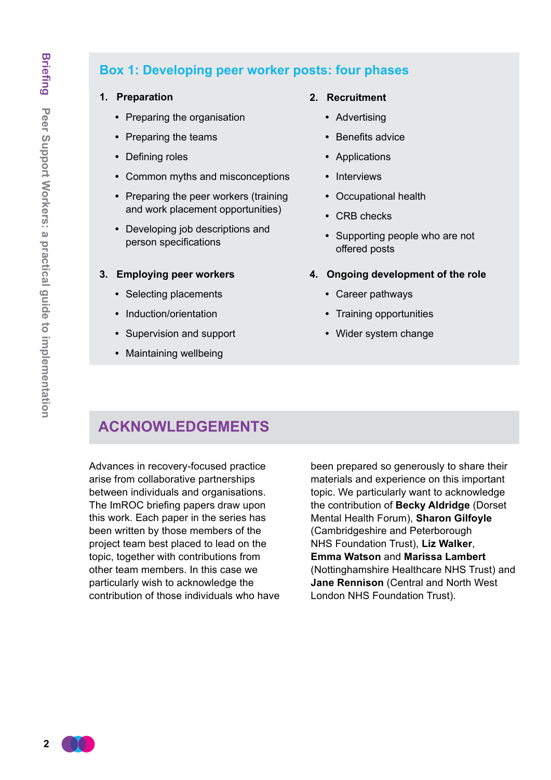# **Box 1: Developing peer worker posts: four phases**

#### **1. Preparation**

- **•**  Preparing the organisation
- **•**  Preparing the teams
- **•**  Defining roles
- **•**  Common myths and misconceptions
- **•**  Preparing the peer workers (training and work placement opportunities)
- **•**  Developing job descriptions and person specifications

#### **3. Employing peer workers**

- **•**  Selecting placements
- **•**  Induction/orientation
- **•**  Supervision and support
- **•**  Maintaining wellbeing

#### **2. Recruitment**

- **•**  Advertising
- **•**  Benefits advice
- **•**  Applications
- **•**  Interviews
- **•**  Occupational health
- **•**  CRB checks
- **•**  Supporting people who are not offered posts
- **4. Ongoing development of the role**
	- **•**  Career pathways
	- **•**  Training opportunities
	- **•**  Wider system change

# **ACKNOWLEDGEMENTS**

Advances in recovery-focused practice arise from collaborative partnerships between individuals and organisations. The ImROC briefing papers draw upon this work. Each paper in the series has been written by those members of the project team best placed to lead on the topic, together with contributions from other team members. In this case we particularly wish to acknowledge the contribution of those individuals who have been prepared so generously to share their materials and experience on this important topic. We particularly want to acknowledge the contribution of **Becky Aldridge** (Dorset Mental Health Forum), **Sharon Gilfoyle** (Cambridgeshire and Peterborough NHS Foundation Trust), **Liz Walker**, **Emma Watson** and **Marissa Lambert** (Nottinghamshire Healthcare NHS Trust) and **Jane Rennison** (Central and North West London NHS Foundation Trust).

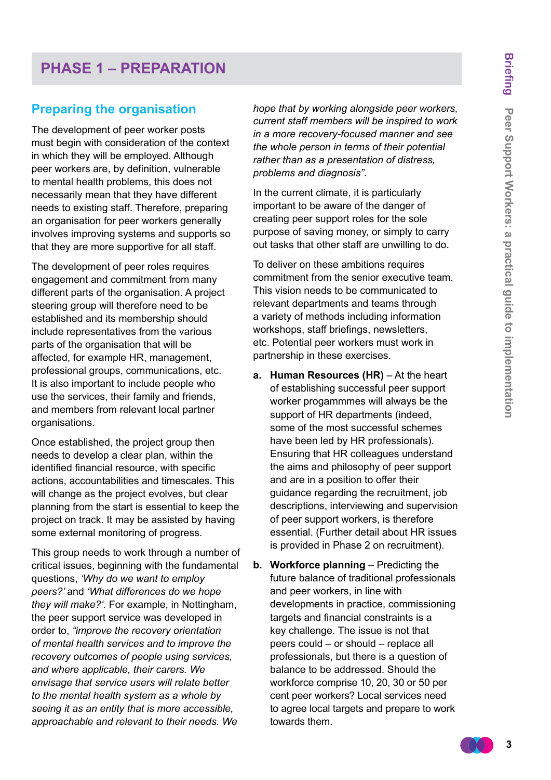# **PHASE 1 – PREPARATION**

#### **Preparing the organisation**

The development of peer worker posts must begin with consideration of the context in which they will be employed. Although peer workers are, by definition, vulnerable to mental health problems, this does not necessarily mean that they have different needs to existing staff. Therefore, preparing an organisation for peer workers generally involves improving systems and supports so that they are more supportive for all staff.

The development of peer roles requires engagement and commitment from many different parts of the organisation. A project steering group will therefore need to be established and its membership should include representatives from the various parts of the organisation that will be affected, for example HR, management, professional groups, communications, etc. It is also important to include people who use the services, their family and friends, and members from relevant local partner organisations.

Once established, the project group then needs to develop a clear plan, within the identified financial resource, with specific actions, accountabilities and timescales. This will change as the project evolves, but clear planning from the start is essential to keep the project on track. It may be assisted by having some external monitoring of progress.

This group needs to work through a number of critical issues, beginning with the fundamental questions, *'Why do we want to employ peers?'* and *'What differences do we hope they will make?'.* For example, in Nottingham, the peer support service was developed in order to, *"improve the recovery orientation of mental health services and to improve the recovery outcomes of people using services, and where applicable, their carers. We envisage that service users will relate better to the mental health system as a whole by seeing it as an entity that is more accessible, approachable and relevant to their needs. We* 

*hope that by working alongside peer workers, current staff members will be inspired to work in a more recovery-focused manner and see the whole person in terms of their potential rather than as a presentation of distress, problems and diagnosis"*.

In the current climate, it is particularly important to be aware of the danger of creating peer support roles for the sole purpose of saving money, or simply to carry out tasks that other staff are unwilling to do.

To deliver on these ambitions requires commitment from the senior executive team. This vision needs to be communicated to relevant departments and teams through a variety of methods including information workshops, staff briefings, newsletters, etc. Potential peer workers must work in partnership in these exercises.

- **a. Human Resources (HR)** At the heart of establishing successful peer support worker progammmes will always be the support of HR departments (indeed, some of the most successful schemes have been led by HR professionals). Ensuring that HR colleagues understand the aims and philosophy of peer support and are in a position to offer their guidance regarding the recruitment, job descriptions, interviewing and supervision of peer support workers, is therefore essential. (Further detail about HR issues is provided in Phase 2 on recruitment).
- **b. Workforce planning** Predicting the future balance of traditional professionals and peer workers, in line with developments in practice, commissioning targets and financial constraints is a key challenge. The issue is not that peers could – or should – replace all professionals, but there is a question of balance to be addressed. Should the workforce comprise 10, 20, 30 or 50 per cent peer workers? Local services need to agree local targets and prepare to work towards them.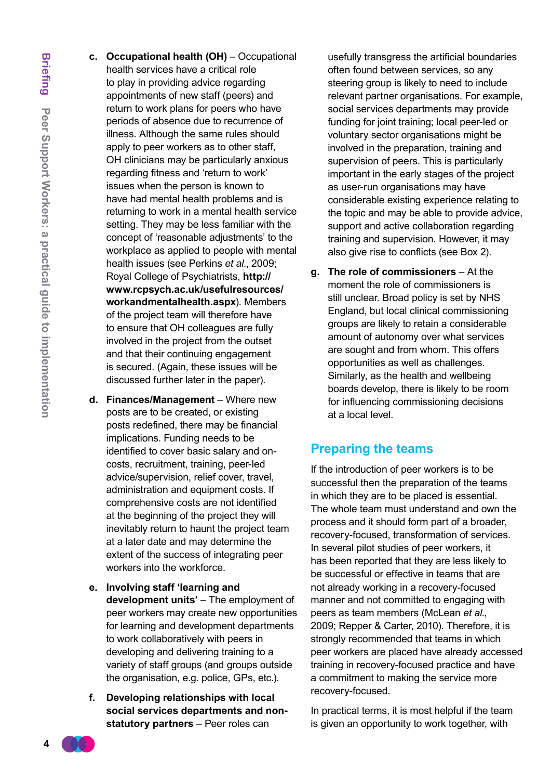- **Briefing** Peer Support Workers: a practical guide to implementation **Peer Support Workers: a practical guide to implementation**
- **c. Occupational health (OH)** Occupational health services have a critical role to play in providing advice regarding appointments of new staff (peers) and return to work plans for peers who have periods of absence due to recurrence of illness. Although the same rules should apply to peer workers as to other staff, OH clinicians may be particularly anxious regarding fitness and 'return to work' issues when the person is known to have had mental health problems and is returning to work in a mental health service setting. They may be less familiar with the concept of 'reasonable adjustments' to the workplace as applied to people with mental health issues (see Perkins *et al*., 2009; Royal College of Psychiatrists, **[http://](http://www.rcpsych.ac.uk/usefulresources/workandmentalhealth.aspx) [www.rcpsych.ac.uk/usefulresources/](http://www.rcpsych.ac.uk/usefulresources/workandmentalhealth.aspx) [workandmentalhealth.aspx](http://www.rcpsych.ac.uk/usefulresources/workandmentalhealth.aspx)**). Members of the project team will therefore have to ensure that OH colleagues are fully involved in the project from the outset and that their continuing engagement is secured. (Again, these issues will be discussed further later in the paper).
- **d. Finances/Management**  Where new posts are to be created, or existing posts redefined, there may be financial implications. Funding needs to be identified to cover basic salary and oncosts, recruitment, training, peer-led advice/supervision, relief cover, travel, administration and equipment costs. If comprehensive costs are not identified at the beginning of the project they will inevitably return to haunt the project team at a later date and may determine the extent of the success of integrating peer workers into the workforce.
- **e. Involving staff 'learning and development units'** – The employment of peer workers may create new opportunities for learning and development departments to work collaboratively with peers in developing and delivering training to a variety of staff groups (and groups outside the organisation, e.g. police, GPs, etc.).
- **f. Developing relationships with local social services departments and nonstatutory partners** – Peer roles can

usefully transgress the artificial boundaries often found between services, so any steering group is likely to need to include relevant partner organisations. For example, social services departments may provide funding for joint training; local peer-led or voluntary sector organisations might be involved in the preparation, training and supervision of peers. This is particularly important in the early stages of the project as user-run organisations may have considerable existing experience relating to the topic and may be able to provide advice, support and active collaboration regarding training and supervision. However, it may also give rise to conflicts (see Box 2).

**g. The role of commissioners** – At the moment the role of commissioners is still unclear. Broad policy is set by NHS England, but local clinical commissioning groups are likely to retain a considerable amount of autonomy over what services are sought and from whom. This offers opportunities as well as challenges. Similarly, as the health and wellbeing boards develop, there is likely to be room for influencing commissioning decisions at a local level.

#### **Preparing the teams**

If the introduction of peer workers is to be successful then the preparation of the teams in which they are to be placed is essential. The whole team must understand and own the process and it should form part of a broader, recovery-focused, transformation of services. In several pilot studies of peer workers, it has been reported that they are less likely to be successful or effective in teams that are not already working in a recovery-focused manner and not committed to engaging with peers as team members (McLean *et al*., 2009; Repper & Carter, 2010). Therefore, it is strongly recommended that teams in which peer workers are placed have already accessed training in recovery-focused practice and have a commitment to making the service more recovery-focused.

In practical terms, it is most helpful if the team is given an opportunity to work together, with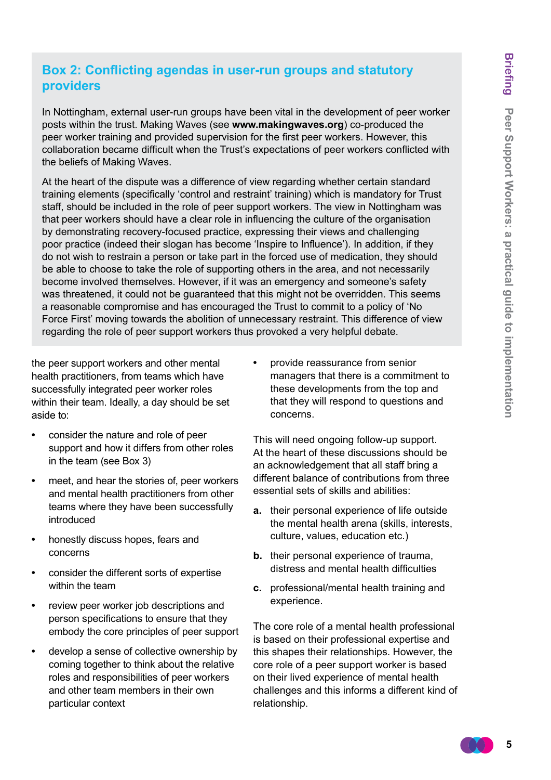#### **Box 2: Conflicting agendas in user-run groups and statutory providers**

In Nottingham, external user-run groups have been vital in the development of peer worker posts within the trust. Making Waves (see **www.makingwaves.org**) co-produced the peer worker training and provided supervision for the first peer workers. However, this collaboration became difficult when the Trust's expectations of peer workers conflicted with the beliefs of Making Waves.

At the heart of the dispute was a difference of view regarding whether certain standard training elements (specifically 'control and restraint' training) which is mandatory for Trust staff, should be included in the role of peer support workers. The view in Nottingham was that peer workers should have a clear role in influencing the culture of the organisation by demonstrating recovery-focused practice, expressing their views and challenging poor practice (indeed their slogan has become 'Inspire to Influence'). In addition, if they do not wish to restrain a person or take part in the forced use of medication, they should be able to choose to take the role of supporting others in the area, and not necessarily become involved themselves. However, if it was an emergency and someone's safety was threatened, it could not be guaranteed that this might not be overridden. This seems a reasonable compromise and has encouraged the Trust to commit to a policy of 'No Force First' moving towards the abolition of unnecessary restraint. This difference of view regarding the role of peer support workers thus provoked a very helpful debate.

the peer support workers and other mental health practitioners, from teams which have successfully integrated peer worker roles within their team. Ideally, a day should be set aside to:

- consider the nature and role of peer support and how it differs from other roles in the team (see Box 3)
- **•**  meet, and hear the stories of, peer workers and mental health practitioners from other teams where they have been successfully introduced
- honestly discuss hopes, fears and concerns
- consider the different sorts of expertise within the team
- **•**  review peer worker job descriptions and person specifications to ensure that they embody the core principles of peer support
- **•**  develop a sense of collective ownership by coming together to think about the relative roles and responsibilities of peer workers and other team members in their own particular context

**•**  provide reassurance from senior managers that there is a commitment to these developments from the top and that they will respond to questions and concerns.

This will need ongoing follow-up support. At the heart of these discussions should be an acknowledgement that all staff bring a different balance of contributions from three essential sets of skills and abilities:

- **a.** their personal experience of life outside the mental health arena (skills, interests, culture, values, education etc.)
- **b.** their personal experience of trauma, distress and mental health difficulties
- **c.** professional/mental health training and experience.

The core role of a mental health professional is based on their professional expertise and this shapes their relationships. However, the core role of a peer support worker is based on their lived experience of mental health challenges and this informs a different kind of relationship.

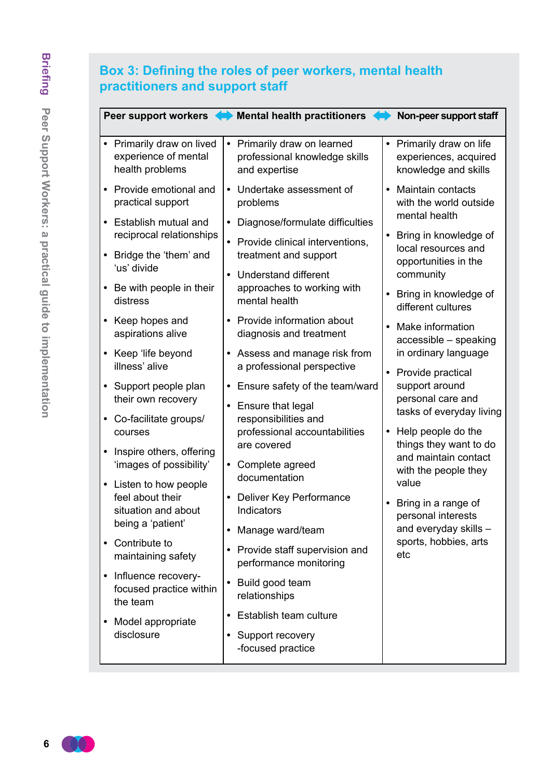# **Box 3: Defining the roles of peer workers, mental health practitioners and support staff**

|                                                                         | Peer support workers <> Mental health practitioners                                     | Non-peer support staff                                                    |
|-------------------------------------------------------------------------|-----------------------------------------------------------------------------------------|---------------------------------------------------------------------------|
| Primarily draw on lived<br>experience of mental<br>health problems      | • Primarily draw on learned<br>professional knowledge skills<br>and expertise           | • Primarily draw on life<br>experiences, acquired<br>knowledge and skills |
| Provide emotional and<br>practical support                              | Undertake assessment of<br>$\bullet$<br>problems                                        | <b>Maintain contacts</b><br>with the world outside<br>mental health       |
| Establish mutual and<br>$\bullet$<br>reciprocal relationships           | Diagnose/formulate difficulties<br>$\bullet$                                            | • Bring in knowledge of                                                   |
| Bridge the 'them' and<br>$\bullet$<br>'us' divide                       | • Provide clinical interventions,<br>treatment and support                              | local resources and<br>opportunities in the                               |
| Be with people in their<br>$\bullet$<br>distress                        | <b>Understand different</b><br>$\bullet$<br>approaches to working with<br>mental health | community<br>Bring in knowledge of<br>different cultures                  |
| Keep hopes and<br>aspirations alive                                     | Provide information about<br>diagnosis and treatment                                    | Make information<br>accessible - speaking                                 |
| • Keep 'life beyond<br>illness' alive                                   | Assess and manage risk from<br>a professional perspective                               | in ordinary language                                                      |
| Support people plan<br>$\bullet$<br>their own recovery                  | Ensure safety of the team/ward<br>$\bullet$<br>Ensure that legal<br>$\bullet$           | • Provide practical<br>support around<br>personal care and                |
| Co-facilitate groups/<br>courses                                        | responsibilities and<br>professional accountabilities                                   | tasks of everyday living<br>• Help people do the                          |
| Inspire others, offering<br>$\bullet$<br>'images of possibility'        | are covered<br>Complete agreed<br>$\bullet$                                             | things they want to do<br>and maintain contact<br>with the people they    |
| Listen to how people<br>$\bullet$                                       | documentation                                                                           | value                                                                     |
| feel about their<br>situation and about                                 | Deliver Key Performance<br>Indicators                                                   | Bring in a range of<br>personal interests                                 |
| being a 'patient'<br>Contribute to                                      | Manage ward/team<br>$\bullet$                                                           | and everyday skills -<br>sports, hobbies, arts                            |
| maintaining safety                                                      | Provide staff supervision and<br>$\bullet$<br>performance monitoring                    | etc                                                                       |
| Influence recovery-<br>$\bullet$<br>focused practice within<br>the team | Build good team<br>relationships                                                        |                                                                           |
| Model appropriate                                                       | Establish team culture<br>$\bullet$                                                     |                                                                           |
| disclosure                                                              | • Support recovery<br>-focused practice                                                 |                                                                           |

 $(1)$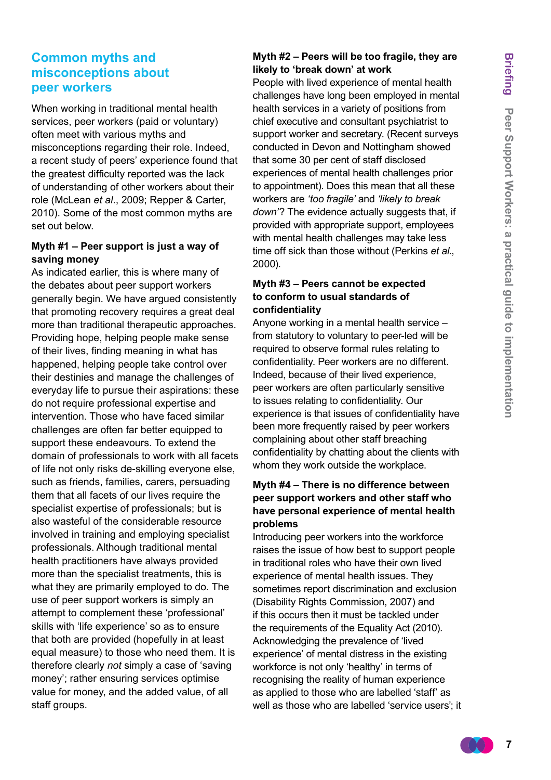#### **Common myths and misconceptions about peer workers**

When working in traditional mental health services, peer workers (paid or voluntary) often meet with various myths and misconceptions regarding their role. Indeed, a recent study of peers' experience found that the greatest difficulty reported was the lack of understanding of other workers about their role (McLean *et al*., 2009; Repper & Carter, 2010). Some of the most common myths are set out below.

#### **Myth #1 – Peer support is just a way of saving money**

As indicated earlier, this is where many of the debates about peer support workers generally begin. We have argued consistently that promoting recovery requires a great deal more than traditional therapeutic approaches. Providing hope, helping people make sense of their lives, finding meaning in what has happened, helping people take control over their destinies and manage the challenges of everyday life to pursue their aspirations: these do not require professional expertise and intervention. Those who have faced similar challenges are often far better equipped to support these endeavours. To extend the domain of professionals to work with all facets of life not only risks de-skilling everyone else, such as friends, families, carers, persuading them that all facets of our lives require the specialist expertise of professionals; but is also wasteful of the considerable resource involved in training and employing specialist professionals. Although traditional mental health practitioners have always provided more than the specialist treatments, this is what they are primarily employed to do. The use of peer support workers is simply an attempt to complement these 'professional' skills with 'life experience' so as to ensure that both are provided (hopefully in at least equal measure) to those who need them. It is therefore clearly *not* simply a case of 'saving money'; rather ensuring services optimise value for money, and the added value, of all staff groups.

#### **Myth #2 – Peers will be too fragile, they are likely to 'break down' at work**

People with lived experience of mental health challenges have long been employed in mental health services in a variety of positions from chief executive and consultant psychiatrist to support worker and secretary. (Recent surveys conducted in Devon and Nottingham showed that some 30 per cent of staff disclosed experiences of mental health challenges prior to appointment). Does this mean that all these workers are *'too fragile'* and *'likely to break down'*? The evidence actually suggests that, if provided with appropriate support, employees with mental health challenges may take less time off sick than those without (Perkins *et al*., 2000).

#### **Myth #3 – Peers cannot be expected to conform to usual standards of confidentiality**

Anyone working in a mental health service – from statutory to voluntary to peer-led will be required to observe formal rules relating to confidentiality. Peer workers are no different. Indeed, because of their lived experience, peer workers are often particularly sensitive to issues relating to confidentiality. Our experience is that issues of confidentiality have been more frequently raised by peer workers complaining about other staff breaching confidentiality by chatting about the clients with whom they work outside the workplace.

#### **Myth #4 – There is no difference between peer support workers and other staff who have personal experience of mental health problems**

Introducing peer workers into the workforce raises the issue of how best to support people in traditional roles who have their own lived experience of mental health issues. They sometimes report discrimination and exclusion (Disability Rights Commission, 2007) and if this occurs then it must be tackled under the requirements of the Equality Act (2010). Acknowledging the prevalence of 'lived experience' of mental distress in the existing workforce is not only 'healthy' in terms of recognising the reality of human experience as applied to those who are labelled 'staff' as well as those who are labelled 'service users'; it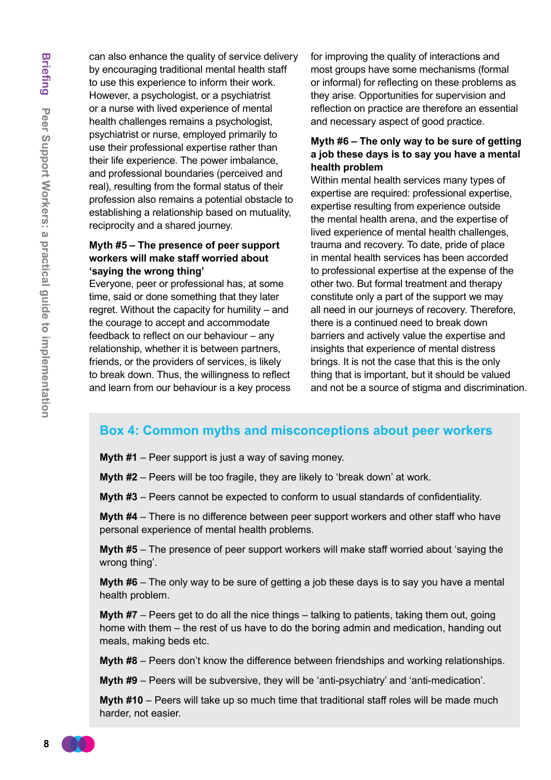can also enhance the quality of service delivery by encouraging traditional mental health staff to use this experience to inform their work. However, a psychologist, or a psychiatrist or a nurse with lived experience of mental health challenges remains a psychologist, psychiatrist or nurse, employed primarily to use their professional expertise rather than their life experience. The power imbalance, and professional boundaries (perceived and real), resulting from the formal status of their profession also remains a potential obstacle to establishing a relationship based on mutuality, reciprocity and a shared journey.

#### **Myth #5 – The presence of peer support workers will make staff worried about 'saying the wrong thing'**

Everyone, peer or professional has, at some time, said or done something that they later regret. Without the capacity for humility – and the courage to accept and accommodate feedback to reflect on our behaviour – any relationship, whether it is between partners, friends, or the providers of services, is likely to break down. Thus, the willingness to reflect and learn from our behaviour is a key process for improving the quality of interactions and most groups have some mechanisms (formal or informal) for reflecting on these problems as they arise. Opportunities for supervision and reflection on practice are therefore an essential and necessary aspect of good practice.

#### **Myth #6 – The only way to be sure of getting a job these days is to say you have a mental health problem**

Within mental health services many types of expertise are required: professional expertise, expertise resulting from experience outside the mental health arena, and the expertise of lived experience of mental health challenges, trauma and recovery. To date, pride of place in mental health services has been accorded to professional expertise at the expense of the other two. But formal treatment and therapy constitute only a part of the support we may all need in our journeys of recovery. Therefore, there is a continued need to break down barriers and actively value the expertise and insights that experience of mental distress brings. It is not the case that this is the only thing that is important, but it should be valued and not be a source of stigma and discrimination.

#### **Box 4: Common myths and misconceptions about peer workers**

**Myth #1** – Peer support is just a way of saving money.

**Myth #2** – Peers will be too fragile, they are likely to 'break down' at work.

**Myth #3** – Peers cannot be expected to conform to usual standards of confidentiality.

**Myth #4** – There is no difference between peer support workers and other staff who have personal experience of mental health problems.

**Myth #5** – The presence of peer support workers will make staff worried about 'saying the wrong thing'.

**Myth #6** – The only way to be sure of getting a job these days is to say you have a mental health problem.

**Myth #7** – Peers get to do all the nice things – talking to patients, taking them out, going home with them – the rest of us have to do the boring admin and medication, handing out meals, making beds etc.

**Myth #8** – Peers don't know the difference between friendships and working relationships.

**Myth #9** – Peers will be subversive, they will be 'anti-psychiatry' and 'anti-medication'.

**Myth #10** – Peers will take up so much time that traditional staff roles will be made much harder, not easier.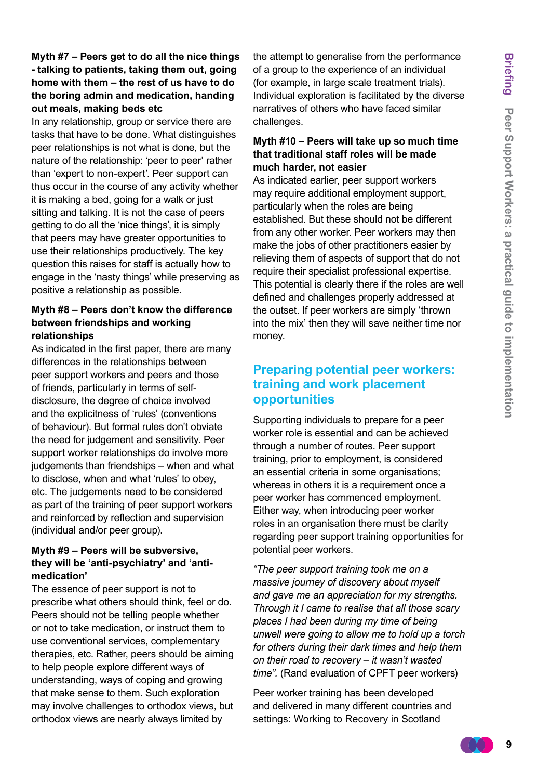#### **Myth #7 – Peers get to do all the nice things - talking to patients, taking them out, going home with them – the rest of us have to do the boring admin and medication, handing out meals, making beds etc**

In any relationship, group or service there are tasks that have to be done. What distinguishes peer relationships is not what is done, but the nature of the relationship: 'peer to peer' rather than 'expert to non-expert'. Peer support can thus occur in the course of any activity whether it is making a bed, going for a walk or just sitting and talking. It is not the case of peers getting to do all the 'nice things', it is simply that peers may have greater opportunities to use their relationships productively. The key question this raises for staff is actually how to engage in the 'nasty things' while preserving as positive a relationship as possible.

#### **Myth #8 – Peers don't know the difference between friendships and working relationships**

As indicated in the first paper, there are many differences in the relationships between peer support workers and peers and those of friends, particularly in terms of selfdisclosure, the degree of choice involved and the explicitness of 'rules' (conventions of behaviour). But formal rules don't obviate the need for judgement and sensitivity. Peer support worker relationships do involve more judgements than friendships – when and what to disclose, when and what 'rules' to obey, etc. The judgements need to be considered as part of the training of peer support workers and reinforced by reflection and supervision (individual and/or peer group).

#### **Myth #9 – Peers will be subversive, they will be 'anti-psychiatry' and 'antimedication'**

The essence of peer support is not to prescribe what others should think, feel or do. Peers should not be telling people whether or not to take medication, or instruct them to use conventional services, complementary therapies, etc. Rather, peers should be aiming to help people explore different ways of understanding, ways of coping and growing that make sense to them. Such exploration may involve challenges to orthodox views, but orthodox views are nearly always limited by

the attempt to generalise from the performance of a group to the experience of an individual (for example, in large scale treatment trials). Individual exploration is facilitated by the diverse narratives of others who have faced similar challenges.

#### **Myth #10 – Peers will take up so much time that traditional staff roles will be made much harder, not easier**

As indicated earlier, peer support workers may require additional employment support, particularly when the roles are being established. But these should not be different from any other worker. Peer workers may then make the jobs of other practitioners easier by relieving them of aspects of support that do not require their specialist professional expertise. This potential is clearly there if the roles are well defined and challenges properly addressed at the outset. If peer workers are simply 'thrown into the mix' then they will save neither time nor money.

#### **Preparing potential peer workers: training and work placement opportunities**

Supporting individuals to prepare for a peer worker role is essential and can be achieved through a number of routes. Peer support training, prior to employment, is considered an essential criteria in some organisations; whereas in others it is a requirement once a peer worker has commenced employment. Either way, when introducing peer worker roles in an organisation there must be clarity regarding peer support training opportunities for potential peer workers.

*"The peer support training took me on a massive journey of discovery about myself and gave me an appreciation for my strengths. Through it I came to realise that all those scary places I had been during my time of being unwell were going to allow me to hold up a torch for others during their dark times and help them on their road to recovery – it wasn't wasted time".* (Rand evaluation of CPFT peer workers)

Peer worker training has been developed and delivered in many different countries and settings: Working to Recovery in Scotland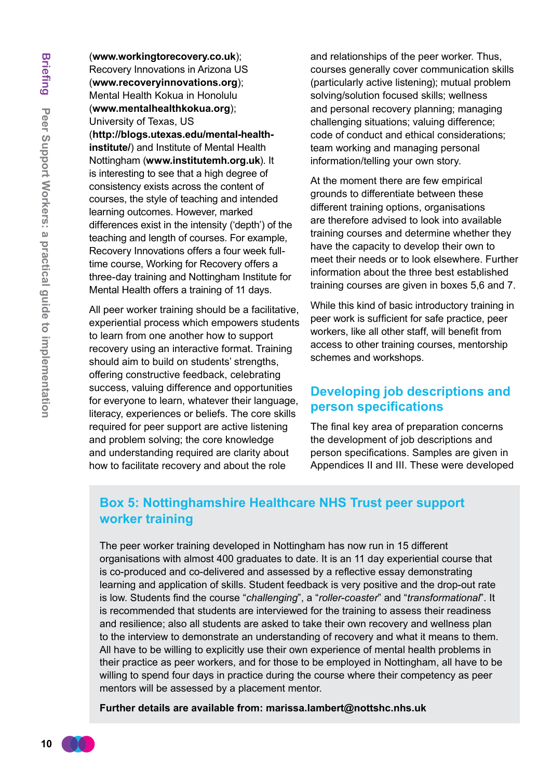(**www.workingtorecovery.co.uk**); Recovery Innovations in Arizona US (**www.recoveryinnovations.org**); Mental Health Kokua in Honolulu (**www.mentalhealthkokua.org**); University of Texas, US (**http://blogs.utexas.edu/mental-healthinstitute/**) and Institute of Mental Health Nottingham (**www.institutemh.org.uk**). It is interesting to see that a high degree of consistency exists across the content of courses, the style of teaching and intended learning outcomes. However, marked differences exist in the intensity ('depth') of the teaching and length of courses. For example, Recovery Innovations offers a four week fulltime course, Working for Recovery offers a three-day training and Nottingham Institute for

Mental Health offers a training of 11 days.

All peer worker training should be a facilitative, experiential process which empowers students to learn from one another how to support recovery using an interactive format. Training should aim to build on students' strengths, offering constructive feedback, celebrating success, valuing difference and opportunities for everyone to learn, whatever their language, literacy, experiences or beliefs. The core skills required for peer support are active listening and problem solving; the core knowledge and understanding required are clarity about how to facilitate recovery and about the role

and relationships of the peer worker. Thus, courses generally cover communication skills (particularly active listening); mutual problem solving/solution focused skills; wellness and personal recovery planning; managing challenging situations; valuing difference; code of conduct and ethical considerations; team working and managing personal information/telling your own story.

At the moment there are few empirical grounds to differentiate between these different training options, organisations are therefore advised to look into available training courses and determine whether they have the capacity to develop their own to meet their needs or to look elsewhere. Further information about the three best established training courses are given in boxes 5,6 and 7.

While this kind of basic introductory training in peer work is sufficient for safe practice, peer workers, like all other staff, will benefit from access to other training courses, mentorship schemes and workshops.

#### **Developing job descriptions and person specifications**

The final key area of preparation concerns the development of job descriptions and person specifications. Samples are given in Appendices II and III. These were developed

#### **Box 5: Nottinghamshire Healthcare NHS Trust peer support worker training**

The peer worker training developed in Nottingham has now run in 15 different organisations with almost 400 graduates to date. It is an 11 day experiential course that is co-produced and co-delivered and assessed by a reflective essay demonstrating learning and application of skills. Student feedback is very positive and the drop-out rate is low. Students find the course "*challenging*", a "*roller-coaster*" and "*transformational*". It is recommended that students are interviewed for the training to assess their readiness and resilience; also all students are asked to take their own recovery and wellness plan to the interview to demonstrate an understanding of recovery and what it means to them. All have to be willing to explicitly use their own experience of mental health problems in their practice as peer workers, and for those to be employed in Nottingham, all have to be willing to spend four days in practice during the course where their competency as peer mentors will be assessed by a placement mentor.

**Further details are available from: marissa.lambert@nottshc.nhs.uk**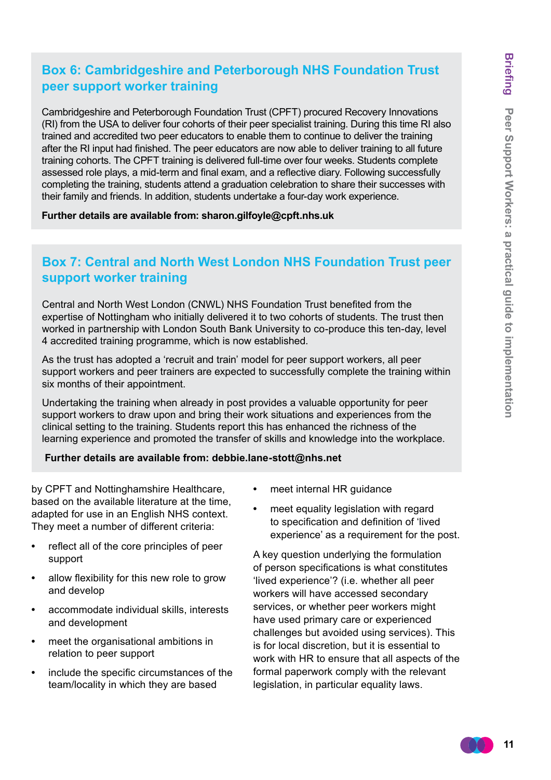#### **Box 6: Cambridgeshire and Peterborough NHS Foundation Trust peer support worker training**

Cambridgeshire and Peterborough Foundation Trust (CPFT) procured Recovery Innovations (RI) from the USA to deliver four cohorts of their peer specialist training. During this time RI also trained and accredited two peer educators to enable them to continue to deliver the training after the RI input had finished. The peer educators are now able to deliver training to all future training cohorts. The CPFT training is delivered full-time over four weeks. Students complete assessed role plays, a mid-term and final exam, and a reflective diary. Following successfully completing the training, students attend a graduation celebration to share their successes with their family and friends. In addition, students undertake a four-day work experience.

**Further details are available from: sharon.gilfoyle@cpft.nhs.uk**

#### **Box 7: Central and North West London NHS Foundation Trust peer support worker training**

Central and North West London (CNWL) NHS Foundation Trust benefited from the expertise of Nottingham who initially delivered it to two cohorts of students. The trust then worked in partnership with London South Bank University to co-produce this ten-day, level 4 accredited training programme, which is now established.

As the trust has adopted a 'recruit and train' model for peer support workers, all peer support workers and peer trainers are expected to successfully complete the training within six months of their appointment.

Undertaking the training when already in post provides a valuable opportunity for peer support workers to draw upon and bring their work situations and experiences from the clinical setting to the training. Students report this has enhanced the richness of the learning experience and promoted the transfer of skills and knowledge into the workplace.

#### **Further details are available from: debbie.lane-stott@nhs.net**

by CPFT and Nottinghamshire Healthcare, based on the available literature at the time, adapted for use in an English NHS context. They meet a number of different criteria:

- **•**  reflect all of the core principles of peer support
- allow flexibility for this new role to grow and develop
- **•**  accommodate individual skills, interests and development
- meet the organisational ambitions in relation to peer support
- **•**  include the specific circumstances of the team/locality in which they are based
- meet internal HR guidance
- meet equality legislation with regard to specification and definition of 'lived experience' as a requirement for the post.

A key question underlying the formulation of person specifications is what constitutes 'lived experience'? (i.e. whether all peer workers will have accessed secondary services, or whether peer workers might have used primary care or experienced challenges but avoided using services). This is for local discretion, but it is essential to work with HR to ensure that all aspects of the formal paperwork comply with the relevant legislation, in particular equality laws.

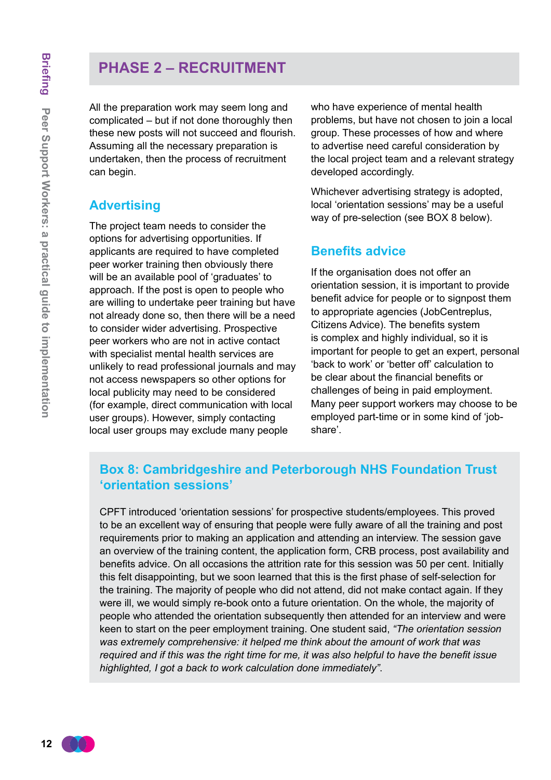# **PHASE 2 – RECRUITMENT**

All the preparation work may seem long and complicated – but if not done thoroughly then these new posts will not succeed and flourish. Assuming all the necessary preparation is undertaken, then the process of recruitment can begin.

#### **Advertising**

The project team needs to consider the options for advertising opportunities. If applicants are required to have completed peer worker training then obviously there will be an available pool of 'graduates' to approach. If the post is open to people who are willing to undertake peer training but have not already done so, then there will be a need to consider wider advertising. Prospective peer workers who are not in active contact with specialist mental health services are unlikely to read professional journals and may not access newspapers so other options for local publicity may need to be considered (for example, direct communication with local user groups). However, simply contacting local user groups may exclude many people

who have experience of mental health problems, but have not chosen to join a local group. These processes of how and where to advertise need careful consideration by the local project team and a relevant strategy developed accordingly.

Whichever advertising strategy is adopted, local 'orientation sessions' may be a useful way of pre-selection (see BOX 8 below).

#### **Benefits advice**

If the organisation does not offer an orientation session, it is important to provide benefit advice for people or to signpost them to appropriate agencies (JobCentreplus, Citizens Advice). The benefits system is complex and highly individual, so it is important for people to get an expert, personal 'back to work' or 'better off' calculation to be clear about the financial benefits or challenges of being in paid employment. Many peer support workers may choose to be employed part-time or in some kind of 'jobshare'.

#### **Box 8: Cambridgeshire and Peterborough NHS Foundation Trust 'orientation sessions'**

CPFT introduced 'orientation sessions' for prospective students/employees. This proved to be an excellent way of ensuring that people were fully aware of all the training and post requirements prior to making an application and attending an interview. The session gave an overview of the training content, the application form, CRB process, post availability and benefits advice. On all occasions the attrition rate for this session was 50 per cent. Initially this felt disappointing, but we soon learned that this is the first phase of self-selection for the training. The majority of people who did not attend, did not make contact again. If they were ill, we would simply re-book onto a future orientation. On the whole, the majority of people who attended the orientation subsequently then attended for an interview and were keen to start on the peer employment training. One student said, *"The orientation session was extremely comprehensive: it helped me think about the amount of work that was required and if this was the right time for me, it was also helpful to have the benefit issue highlighted, I got a back to work calculation done immediately"*.

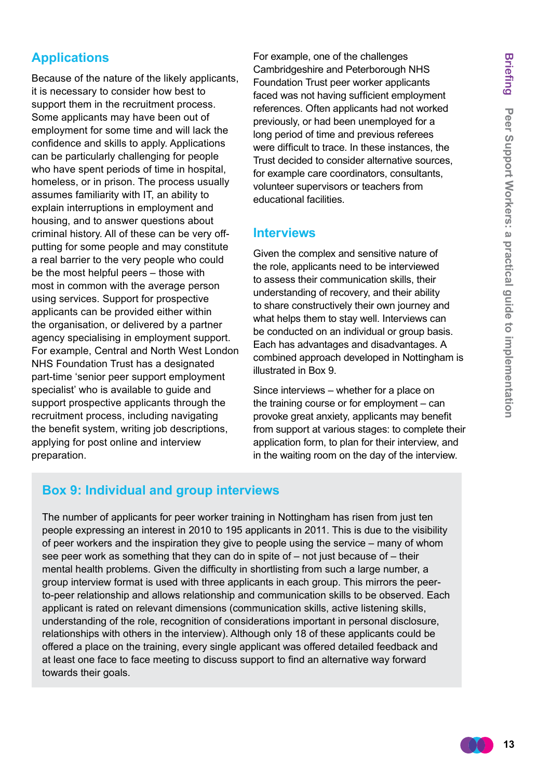# **Applications**

Because of the nature of the likely applicants, it is necessary to consider how best to support them in the recruitment process. Some applicants may have been out of employment for some time and will lack the confidence and skills to apply. Applications can be particularly challenging for people who have spent periods of time in hospital. homeless, or in prison. The process usually assumes familiarity with IT, an ability to explain interruptions in employment and housing, and to answer questions about criminal history. All of these can be very offputting for some people and may constitute a real barrier to the very people who could be the most helpful peers – those with most in common with the average person using services. Support for prospective applicants can be provided either within the organisation, or delivered by a partner agency specialising in employment support. For example, Central and North West London NHS Foundation Trust has a designated part-time 'senior peer support employment specialist' who is available to guide and support prospective applicants through the recruitment process, including navigating the benefit system, writing job descriptions, applying for post online and interview preparation.

For example, one of the challenges Cambridgeshire and Peterborough NHS Foundation Trust peer worker applicants faced was not having sufficient employment references. Often applicants had not worked previously, or had been unemployed for a long period of time and previous referees were difficult to trace. In these instances, the Trust decided to consider alternative sources, for example care coordinators, consultants, volunteer supervisors or teachers from educational facilities.

#### **Interviews**

Given the complex and sensitive nature of the role, applicants need to be interviewed to assess their communication skills, their understanding of recovery, and their ability to share constructively their own journey and what helps them to stay well. Interviews can be conducted on an individual or group basis. Each has advantages and disadvantages. A combined approach developed in Nottingham is illustrated in Box 9.

Since interviews – whether for a place on the training course or for employment – can provoke great anxiety, applicants may benefit from support at various stages: to complete their application form, to plan for their interview, and in the waiting room on the day of the interview.

#### **Box 9: Individual and group interviews**

The number of applicants for peer worker training in Nottingham has risen from just ten people expressing an interest in 2010 to 195 applicants in 2011. This is due to the visibility of peer workers and the inspiration they give to people using the service – many of whom see peer work as something that they can do in spite of – not just because of – their mental health problems. Given the difficulty in shortlisting from such a large number, a group interview format is used with three applicants in each group. This mirrors the peerto-peer relationship and allows relationship and communication skills to be observed. Each applicant is rated on relevant dimensions (communication skills, active listening skills, understanding of the role, recognition of considerations important in personal disclosure, relationships with others in the interview). Although only 18 of these applicants could be offered a place on the training, every single applicant was offered detailed feedback and at least one face to face meeting to discuss support to find an alternative way forward towards their goals.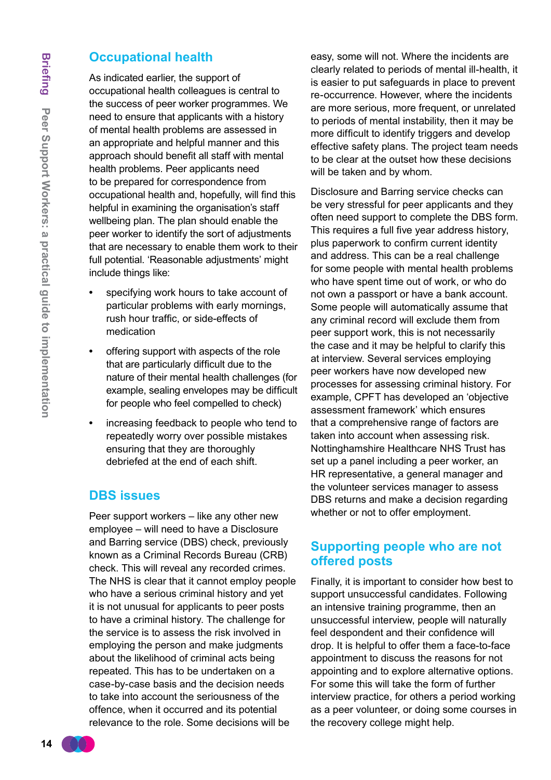#### **Occupational health**

As indicated earlier, the support of occupational health colleagues is central to the success of peer worker programmes. We need to ensure that applicants with a history of mental health problems are assessed in an appropriate and helpful manner and this approach should benefit all staff with mental health problems. Peer applicants need to be prepared for correspondence from occupational health and, hopefully, will find this helpful in examining the organisation's staff wellbeing plan. The plan should enable the peer worker to identify the sort of adjustments that are necessary to enable them work to their full potential. 'Reasonable adjustments' might include things like:

- specifying work hours to take account of particular problems with early mornings, rush hour traffic, or side-effects of medication
- offering support with aspects of the role that are particularly difficult due to the nature of their mental health challenges (for example, sealing envelopes may be difficult for people who feel compelled to check)
- **•**  increasing feedback to people who tend to repeatedly worry over possible mistakes ensuring that they are thoroughly debriefed at the end of each shift.

#### **DBS issues**

Peer support workers – like any other new employee – will need to have a Disclosure and Barring service (DBS) check, previously known as a Criminal Records Bureau (CRB) check. This will reveal any recorded crimes. The NHS is clear that it cannot employ people who have a serious criminal history and yet it is not unusual for applicants to peer posts to have a criminal history. The challenge for the service is to assess the risk involved in employing the person and make judgments about the likelihood of criminal acts being repeated. This has to be undertaken on a case-by-case basis and the decision needs to take into account the seriousness of the offence, when it occurred and its potential relevance to the role. Some decisions will be

easy, some will not. Where the incidents are clearly related to periods of mental ill-health, it is easier to put safeguards in place to prevent re-occurrence. However, where the incidents are more serious, more frequent, or unrelated to periods of mental instability, then it may be more difficult to identify triggers and develop effective safety plans. The project team needs to be clear at the outset how these decisions will be taken and by whom.

Disclosure and Barring service checks can be very stressful for peer applicants and they often need support to complete the DBS form. This requires a full five year address history, plus paperwork to confirm current identity and address. This can be a real challenge for some people with mental health problems who have spent time out of work, or who do not own a passport or have a bank account. Some people will automatically assume that any criminal record will exclude them from peer support work, this is not necessarily the case and it may be helpful to clarify this at interview. Several services employing peer workers have now developed new processes for assessing criminal history. For example, CPFT has developed an 'objective assessment framework' which ensures that a comprehensive range of factors are taken into account when assessing risk. Nottinghamshire Healthcare NHS Trust has set up a panel including a peer worker, an HR representative, a general manager and the volunteer services manager to assess DBS returns and make a decision regarding whether or not to offer employment.

#### **Supporting people who are not offered posts**

Finally, it is important to consider how best to support unsuccessful candidates. Following an intensive training programme, then an unsuccessful interview, people will naturally feel despondent and their confidence will drop. It is helpful to offer them a face-to-face appointment to discuss the reasons for not appointing and to explore alternative options. For some this will take the form of further interview practice, for others a period working as a peer volunteer, or doing some courses in the recovery college might help.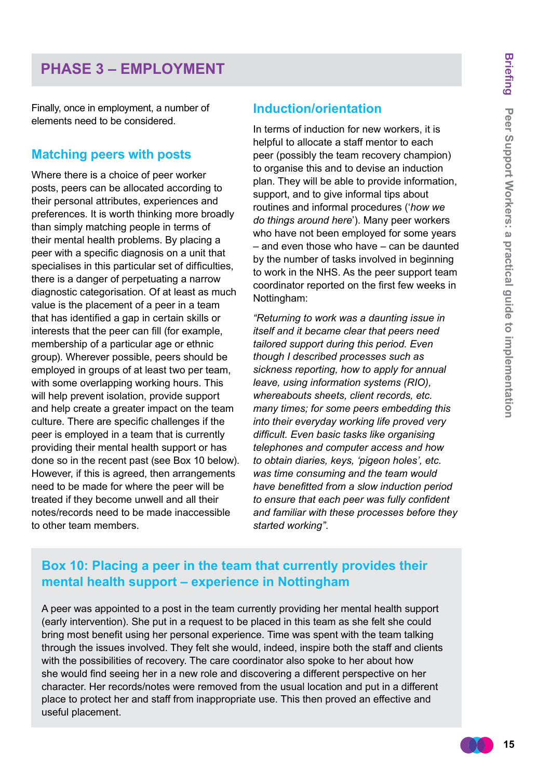# **PHASE 3 – EMPLOYMENT**

Finally, once in employment, a number of elements need to be considered.

#### **Matching peers with posts**

Where there is a choice of peer worker posts, peers can be allocated according to their personal attributes, experiences and preferences. It is worth thinking more broadly than simply matching people in terms of their mental health problems. By placing a peer with a specific diagnosis on a unit that specialises in this particular set of difficulties, there is a danger of perpetuating a narrow diagnostic categorisation. Of at least as much value is the placement of a peer in a team that has identified a gap in certain skills or interests that the peer can fill (for example, membership of a particular age or ethnic group). Wherever possible, peers should be employed in groups of at least two per team, with some overlapping working hours. This will help prevent isolation, provide support and help create a greater impact on the team culture. There are specific challenges if the peer is employed in a team that is currently providing their mental health support or has done so in the recent past (see Box 10 below). However, if this is agreed, then arrangements need to be made for where the peer will be treated if they become unwell and all their notes/records need to be made inaccessible to other team members.

#### **Induction/orientation**

In terms of induction for new workers, it is helpful to allocate a staff mentor to each peer (possibly the team recovery champion) to organise this and to devise an induction plan. They will be able to provide information, support, and to give informal tips about routines and informal procedures ('*how we do things around here*'). Many peer workers who have not been employed for some years – and even those who have – can be daunted by the number of tasks involved in beginning to work in the NHS. As the peer support team coordinator reported on the first few weeks in Nottingham:

*"Returning to work was a daunting issue in itself and it became clear that peers need tailored support during this period. Even though I described processes such as sickness reporting, how to apply for annual leave, using information systems (RIO), whereabouts sheets, client records, etc. many times; for some peers embedding this into their everyday working life proved very difficult. Even basic tasks like organising telephones and computer access and how to obtain diaries, keys, 'pigeon holes', etc. was time consuming and the team would have benefitted from a slow induction period to ensure that each peer was fully confident and familiar with these processes before they started working"*.

#### **Box 10: Placing a peer in the team that currently provides their mental health support – experience in Nottingham**

A peer was appointed to a post in the team currently providing her mental health support (early intervention). She put in a request to be placed in this team as she felt she could bring most benefit using her personal experience. Time was spent with the team talking through the issues involved. They felt she would, indeed, inspire both the staff and clients with the possibilities of recovery. The care coordinator also spoke to her about how she would find seeing her in a new role and discovering a different perspective on her character. Her records/notes were removed from the usual location and put in a different place to protect her and staff from inappropriate use. This then proved an effective and useful placement.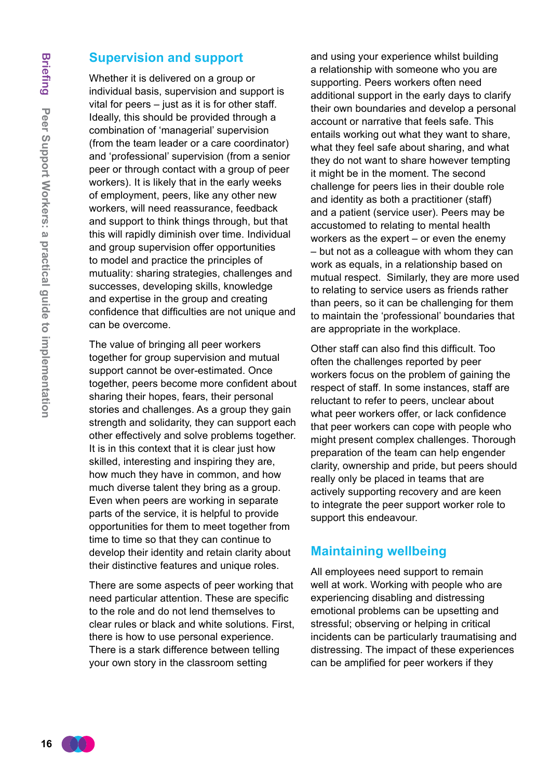#### **Supervision and support**

Whether it is delivered on a group or individual basis, supervision and support is vital for peers – just as it is for other staff. Ideally, this should be provided through a combination of 'managerial' supervision (from the team leader or a care coordinator) and 'professional' supervision (from a senior peer or through contact with a group of peer workers). It is likely that in the early weeks of employment, peers, like any other new workers, will need reassurance, feedback and support to think things through, but that this will rapidly diminish over time. Individual and group supervision offer opportunities to model and practice the principles of mutuality: sharing strategies, challenges and successes, developing skills, knowledge and expertise in the group and creating confidence that difficulties are not unique and can be overcome.

The value of bringing all peer workers together for group supervision and mutual support cannot be over-estimated. Once together, peers become more confident about sharing their hopes, fears, their personal stories and challenges. As a group they gain strength and solidarity, they can support each other effectively and solve problems together. It is in this context that it is clear just how skilled, interesting and inspiring they are, how much they have in common, and how much diverse talent they bring as a group. Even when peers are working in separate parts of the service, it is helpful to provide opportunities for them to meet together from time to time so that they can continue to develop their identity and retain clarity about their distinctive features and unique roles.

There are some aspects of peer working that need particular attention. These are specific to the role and do not lend themselves to clear rules or black and white solutions. First, there is how to use personal experience. There is a stark difference between telling your own story in the classroom setting

and using your experience whilst building a relationship with someone who you are supporting. Peers workers often need additional support in the early days to clarify their own boundaries and develop a personal account or narrative that feels safe. This entails working out what they want to share, what they feel safe about sharing, and what they do not want to share however tempting it might be in the moment. The second challenge for peers lies in their double role and identity as both a practitioner (staff) and a patient (service user). Peers may be accustomed to relating to mental health workers as the expert – or even the enemy – but not as a colleague with whom they can work as equals, in a relationship based on mutual respect. Similarly, they are more used to relating to service users as friends rather than peers, so it can be challenging for them to maintain the 'professional' boundaries that are appropriate in the workplace.

Other staff can also find this difficult. Too often the challenges reported by peer workers focus on the problem of gaining the respect of staff. In some instances, staff are reluctant to refer to peers, unclear about what peer workers offer, or lack confidence that peer workers can cope with people who might present complex challenges. Thorough preparation of the team can help engender clarity, ownership and pride, but peers should really only be placed in teams that are actively supporting recovery and are keen to integrate the peer support worker role to support this endeavour.

#### **Maintaining wellbeing**

All employees need support to remain well at work. Working with people who are experiencing disabling and distressing emotional problems can be upsetting and stressful; observing or helping in critical incidents can be particularly traumatising and distressing. The impact of these experiences can be amplified for peer workers if they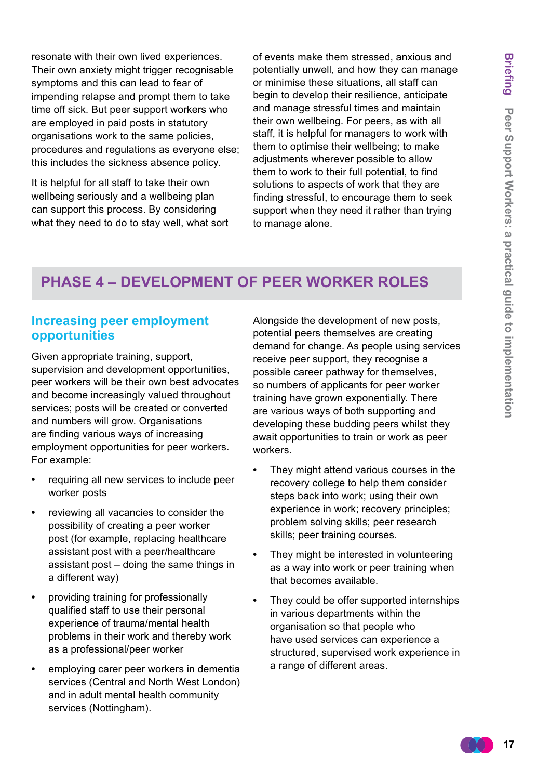resonate with their own lived experiences. Their own anxiety might trigger recognisable symptoms and this can lead to fear of impending relapse and prompt them to take time off sick. But peer support workers who are employed in paid posts in statutory organisations work to the same policies, procedures and regulations as everyone else; this includes the sickness absence policy.

It is helpful for all staff to take their own wellbeing seriously and a wellbeing plan can support this process. By considering what they need to do to stay well, what sort of events make them stressed, anxious and potentially unwell, and how they can manage or minimise these situations, all staff can begin to develop their resilience, anticipate and manage stressful times and maintain their own wellbeing. For peers, as with all staff, it is helpful for managers to work with them to optimise their wellbeing; to make adjustments wherever possible to allow them to work to their full potential, to find solutions to aspects of work that they are finding stressful, to encourage them to seek support when they need it rather than trying to manage alone.

# **PHASE 4 – DEVELOPMENT OF PEER WORKER ROLES**

#### **Increasing peer employment opportunities**

Given appropriate training, support, supervision and development opportunities, peer workers will be their own best advocates and become increasingly valued throughout services; posts will be created or converted and numbers will grow. Organisations are finding various ways of increasing employment opportunities for peer workers. For example:

- requiring all new services to include peer worker posts
- **•**  reviewing all vacancies to consider the possibility of creating a peer worker post (for example, replacing healthcare assistant post with a peer/healthcare assistant post – doing the same things in a different way)
- providing training for professionally qualified staff to use their personal experience of trauma/mental health problems in their work and thereby work as a professional/peer worker
- employing carer peer workers in dementia services (Central and North West London) and in adult mental health community services (Nottingham).

Alongside the development of new posts, potential peers themselves are creating demand for change. As people using services receive peer support, they recognise a possible career pathway for themselves, so numbers of applicants for peer worker training have grown exponentially. There are various ways of both supporting and developing these budding peers whilst they await opportunities to train or work as peer workers.

- They might attend various courses in the recovery college to help them consider steps back into work; using their own experience in work; recovery principles; problem solving skills; peer research skills; peer training courses.
- They might be interested in volunteering as a way into work or peer training when that becomes available.
- They could be offer supported internships in various departments within the organisation so that people who have used services can experience a structured, supervised work experience in a range of different areas.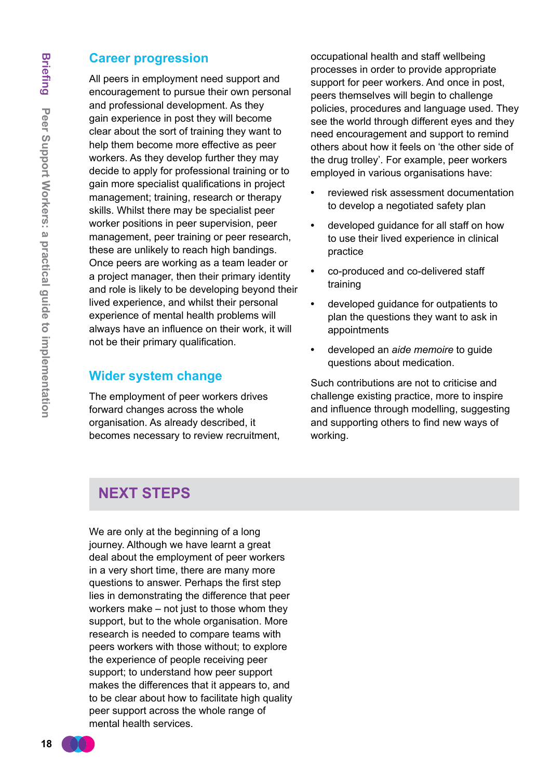#### **Career progression**

All peers in employment need support and encouragement to pursue their own personal and professional development. As they gain experience in post they will become clear about the sort of training they want to help them become more effective as peer workers. As they develop further they may decide to apply for professional training or to gain more specialist qualifications in project management; training, research or therapy skills. Whilst there may be specialist peer worker positions in peer supervision, peer management, peer training or peer research, these are unlikely to reach high bandings. Once peers are working as a team leader or a project manager, then their primary identity and role is likely to be developing beyond their lived experience, and whilst their personal experience of mental health problems will always have an influence on their work, it will not be their primary qualification.

#### **Wider system change**

The employment of peer workers drives forward changes across the whole organisation. As already described, it becomes necessary to review recruitment, occupational health and staff wellbeing processes in order to provide appropriate support for peer workers. And once in post, peers themselves will begin to challenge policies, procedures and language used. They see the world through different eyes and they need encouragement and support to remind others about how it feels on 'the other side of the drug trolley'. For example, peer workers employed in various organisations have:

- **•**  reviewed risk assessment documentation to develop a negotiated safety plan
- **•**  developed guidance for all staff on how to use their lived experience in clinical practice
- co-produced and co-delivered staff training
- **•**  developed guidance for outpatients to plan the questions they want to ask in appointments
- **•**  developed an *aide memoire* to guide questions about medication.

Such contributions are not to criticise and challenge existing practice, more to inspire and influence through modelling, suggesting and supporting others to find new ways of working.

## **NEXT STEPS**

We are only at the beginning of a long journey. Although we have learnt a great deal about the employment of peer workers in a very short time, there are many more questions to answer. Perhaps the first step lies in demonstrating the difference that peer workers make – not just to those whom they support, but to the whole organisation. More research is needed to compare teams with peers workers with those without; to explore the experience of people receiving peer support; to understand how peer support makes the differences that it appears to, and to be clear about how to facilitate high quality peer support across the whole range of mental health services.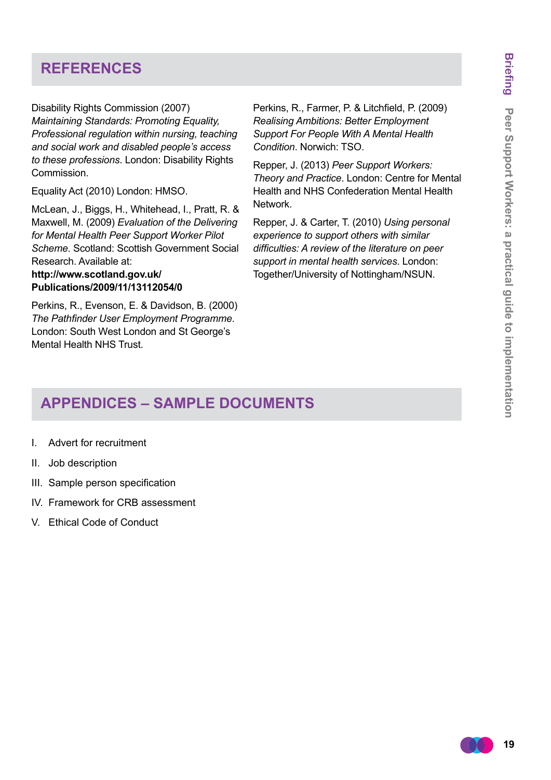# **REFERENCES**

Disability Rights Commission (2007) *Maintaining Standards: Promoting Equality, Professional regulation within nursing, teaching and social work and disabled people's access to these professions*. London: Disability Rights Commission.

Equality Act (2010) London: HMSO.

McLean, J., Biggs, H., Whitehead, I., Pratt, R. & Maxwell, M. (2009) *Evaluation of the Delivering for Mental Health Peer Support Worker Pilot Scheme*. Scotland: Scottish Government Social Research. Available at:

#### **[http://www.scotland.gov.uk/](http://www.scotland.gov.uk/Publications/2009/11/13112054/0) [Publications/2009/11/13112054/0](http://www.scotland.gov.uk/Publications/2009/11/13112054/0)**

Perkins, R., Evenson, E. & Davidson, B. (2000) *The Pathfinder User Employment Programme*. London: South West London and St George's Mental Health NHS Trust.

Perkins, R., Farmer, P. & Litchfield, P. (2009) *Realising Ambitions: Better Employment Support For People With A Mental Health Condition*. Norwich: TSO.

Repper, J. (2013) *Peer Support Workers: Theory and Practice*. London: Centre for Mental Health and NHS Confederation Mental Health Network.

Repper, J. & Carter, T. (2010) *Using personal experience to support others with similar difficulties: A review of the literature on peer support in mental health services*. London: Together/University of Nottingham/NSUN.

# **APPENDICES – SAMPLE DOCUMENTS**

- I. Advert for recruitment
- II. Job description
- III. Sample person specification
- IV. Framework for CRB assessment
- V. Ethical Code of Conduct

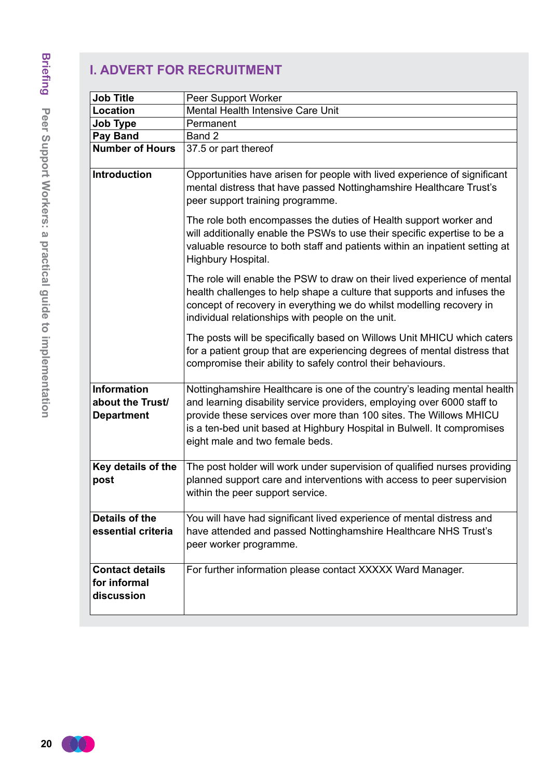# **I. ADVERT FOR RECRUITMENT**

| <b>Job Title</b>                                            | Peer Support Worker                                                                                                                                                                                                                                                                                                                     |
|-------------------------------------------------------------|-----------------------------------------------------------------------------------------------------------------------------------------------------------------------------------------------------------------------------------------------------------------------------------------------------------------------------------------|
| Location                                                    | Mental Health Intensive Care Unit                                                                                                                                                                                                                                                                                                       |
| <b>Job Type</b>                                             | Permanent                                                                                                                                                                                                                                                                                                                               |
| Pay Band                                                    | Band 2                                                                                                                                                                                                                                                                                                                                  |
| <b>Number of Hours</b>                                      | 37.5 or part thereof                                                                                                                                                                                                                                                                                                                    |
| <b>Introduction</b>                                         | Opportunities have arisen for people with lived experience of significant<br>mental distress that have passed Nottinghamshire Healthcare Trust's<br>peer support training programme.                                                                                                                                                    |
|                                                             | The role both encompasses the duties of Health support worker and<br>will additionally enable the PSWs to use their specific expertise to be a<br>valuable resource to both staff and patients within an inpatient setting at<br>Highbury Hospital.                                                                                     |
|                                                             | The role will enable the PSW to draw on their lived experience of mental<br>health challenges to help shape a culture that supports and infuses the<br>concept of recovery in everything we do whilst modelling recovery in<br>individual relationships with people on the unit.                                                        |
|                                                             | The posts will be specifically based on Willows Unit MHICU which caters<br>for a patient group that are experiencing degrees of mental distress that<br>compromise their ability to safely control their behaviours.                                                                                                                    |
| <b>Information</b><br>about the Trust/<br><b>Department</b> | Nottinghamshire Healthcare is one of the country's leading mental health<br>and learning disability service providers, employing over 6000 staff to<br>provide these services over more than 100 sites. The Willows MHICU<br>is a ten-bed unit based at Highbury Hospital in Bulwell. It compromises<br>eight male and two female beds. |
| Key details of the<br>post                                  | The post holder will work under supervision of qualified nurses providing<br>planned support care and interventions with access to peer supervision<br>within the peer support service.                                                                                                                                                 |
| Details of the<br>essential criteria                        | You will have had significant lived experience of mental distress and<br>have attended and passed Nottinghamshire Healthcare NHS Trust's<br>peer worker programme.                                                                                                                                                                      |
| <b>Contact details</b><br>for informal<br>discussion        | For further information please contact XXXXX Ward Manager.                                                                                                                                                                                                                                                                              |

**20**  $CO<sub>2</sub>$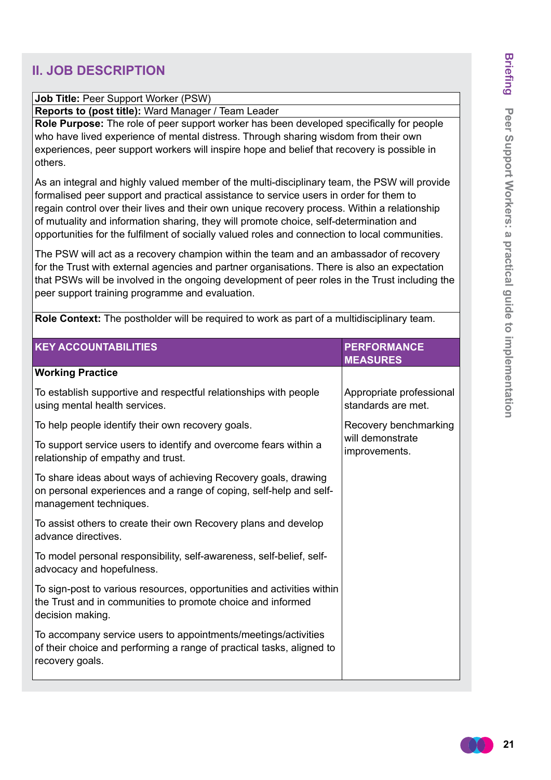#### **II. JOB DESCRIPTION**

#### **Job Title:** Peer Support Worker (PSW)

**Reports to (post title):** Ward Manager / Team Leader

**Role Purpose:** The role of peer support worker has been developed specifically for people who have lived experience of mental distress. Through sharing wisdom from their own experiences, peer support workers will inspire hope and belief that recovery is possible in others.

As an integral and highly valued member of the multi-disciplinary team, the PSW will provide formalised peer support and practical assistance to service users in order for them to regain control over their lives and their own unique recovery process. Within a relationship of mutuality and information sharing, they will promote choice, self-determination and opportunities for the fulfilment of socially valued roles and connection to local communities.

The PSW will act as a recovery champion within the team and an ambassador of recovery for the Trust with external agencies and partner organisations. There is also an expectation that PSWs will be involved in the ongoing development of peer roles in the Trust including the peer support training programme and evaluation.

**KEY ACCOUNTABILITIES PERFORMANCE MEASURES Working Practice** To establish supportive and respectful relationships with people using mental health services. To help people identify their own recovery goals. To support service users to identify and overcome fears within a relationship of empathy and trust. To share ideas about ways of achieving Recovery goals, drawing on personal experiences and a range of coping, self-help and selfmanagement techniques. To assist others to create their own Recovery plans and develop advance directives. To model personal responsibility, self-awareness, self-belief, selfadvocacy and hopefulness. To sign-post to various resources, opportunities and activities within the Trust and in communities to promote choice and informed decision making. To accompany service users to appointments/meetings/activities of their choice and performing a range of practical tasks, aligned to recovery goals. Appropriate professional standards are met. Recovery benchmarking will demonstrate improvements.

**Role Context:** The postholder will be required to work as part of a multidisciplinary team.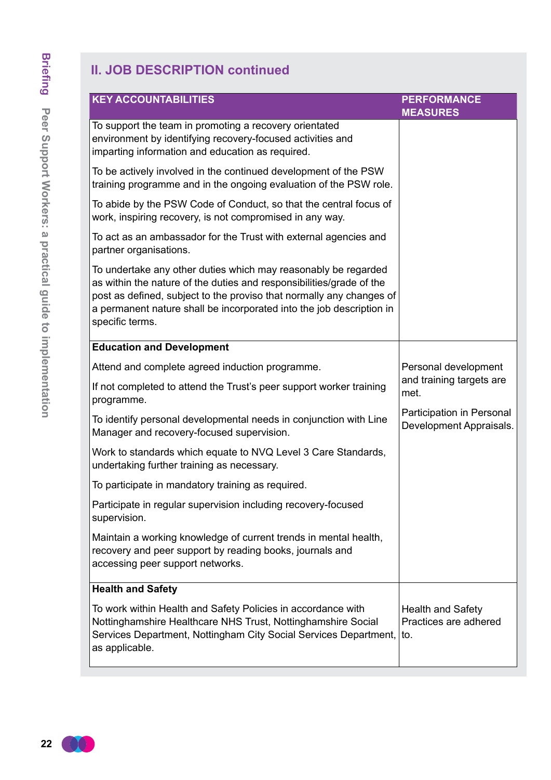| <b>KEY ACCOUNTABILITIES</b>                                                                                                                                                                                                                                                                               | <b>PERFORMANCE</b><br><b>MEASURES</b>                    |
|-----------------------------------------------------------------------------------------------------------------------------------------------------------------------------------------------------------------------------------------------------------------------------------------------------------|----------------------------------------------------------|
| To support the team in promoting a recovery orientated<br>environment by identifying recovery-focused activities and<br>imparting information and education as required.                                                                                                                                  |                                                          |
| To be actively involved in the continued development of the PSW<br>training programme and in the ongoing evaluation of the PSW role.                                                                                                                                                                      |                                                          |
| To abide by the PSW Code of Conduct, so that the central focus of<br>work, inspiring recovery, is not compromised in any way.                                                                                                                                                                             |                                                          |
| To act as an ambassador for the Trust with external agencies and<br>partner organisations.                                                                                                                                                                                                                |                                                          |
| To undertake any other duties which may reasonably be regarded<br>as within the nature of the duties and responsibilities/grade of the<br>post as defined, subject to the proviso that normally any changes of<br>a permanent nature shall be incorporated into the job description in<br>specific terms. |                                                          |
| <b>Education and Development</b>                                                                                                                                                                                                                                                                          |                                                          |
| Attend and complete agreed induction programme.                                                                                                                                                                                                                                                           | Personal development                                     |
| If not completed to attend the Trust's peer support worker training<br>programme.                                                                                                                                                                                                                         | and training targets are<br>met.                         |
| To identify personal developmental needs in conjunction with Line<br>Manager and recovery-focused supervision.                                                                                                                                                                                            | Participation in Personal<br>Development Appraisals.     |
| Work to standards which equate to NVQ Level 3 Care Standards,<br>undertaking further training as necessary.                                                                                                                                                                                               |                                                          |
| To participate in mandatory training as required.                                                                                                                                                                                                                                                         |                                                          |
| Participate in regular supervision including recovery-focused<br>supervision.                                                                                                                                                                                                                             |                                                          |
| Maintain a working knowledge of current trends in mental health,<br>recovery and peer support by reading books, journals and<br>accessing peer support networks.                                                                                                                                          |                                                          |
| <b>Health and Safety</b>                                                                                                                                                                                                                                                                                  |                                                          |
| To work within Health and Safety Policies in accordance with<br>Nottinghamshire Healthcare NHS Trust, Nottinghamshire Social<br>Services Department, Nottingham City Social Services Department,<br>as applicable.                                                                                        | <b>Health and Safety</b><br>Practices are adhered<br>to. |

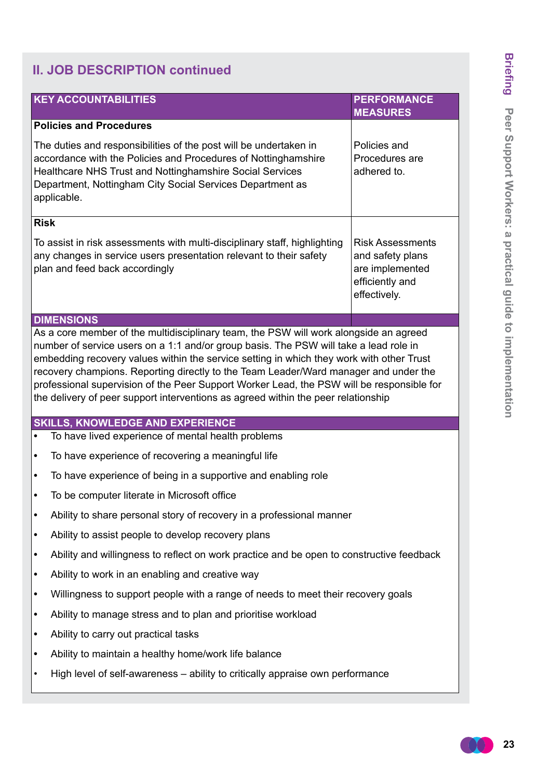| <b>KEY ACCOUNTABILITIES</b>                                                                                                                                                                                                                                                                                                                                                                                                                                 | <b>PERFORMANCE</b>                                                                                |  |  |  |  |
|-------------------------------------------------------------------------------------------------------------------------------------------------------------------------------------------------------------------------------------------------------------------------------------------------------------------------------------------------------------------------------------------------------------------------------------------------------------|---------------------------------------------------------------------------------------------------|--|--|--|--|
|                                                                                                                                                                                                                                                                                                                                                                                                                                                             | <b>MEASURES</b>                                                                                   |  |  |  |  |
| <b>Policies and Procedures</b><br>The duties and responsibilities of the post will be undertaken in<br>accordance with the Policies and Procedures of Nottinghamshire<br>Healthcare NHS Trust and Nottinghamshire Social Services<br>Department, Nottingham City Social Services Department as<br>applicable.                                                                                                                                               | Policies and<br>Procedures are<br>adhered to.                                                     |  |  |  |  |
| <b>Risk</b>                                                                                                                                                                                                                                                                                                                                                                                                                                                 |                                                                                                   |  |  |  |  |
| To assist in risk assessments with multi-disciplinary staff, highlighting<br>any changes in service users presentation relevant to their safety<br>plan and feed back accordingly                                                                                                                                                                                                                                                                           | <b>Risk Assessments</b><br>and safety plans<br>are implemented<br>efficiently and<br>effectively. |  |  |  |  |
| <b>DIMENSIONS</b><br>As a core member of the multidisciplinary team, the PSW will work alongside an agreed                                                                                                                                                                                                                                                                                                                                                  |                                                                                                   |  |  |  |  |
| number of service users on a 1:1 and/or group basis. The PSW will take a lead role in<br>embedding recovery values within the service setting in which they work with other Trust<br>recovery champions. Reporting directly to the Team Leader/Ward manager and under the<br>professional supervision of the Peer Support Worker Lead, the PSW will be responsible for<br>the delivery of peer support interventions as agreed within the peer relationship |                                                                                                   |  |  |  |  |
| <b>SKILLS, KNOWLEDGE AND EXPERIENCE</b>                                                                                                                                                                                                                                                                                                                                                                                                                     |                                                                                                   |  |  |  |  |
| To have lived experience of mental health problems                                                                                                                                                                                                                                                                                                                                                                                                          |                                                                                                   |  |  |  |  |
|                                                                                                                                                                                                                                                                                                                                                                                                                                                             |                                                                                                   |  |  |  |  |
| To have experience of recovering a meaningful life<br>$\bullet$                                                                                                                                                                                                                                                                                                                                                                                             |                                                                                                   |  |  |  |  |
| To have experience of being in a supportive and enabling role<br>$\bullet$                                                                                                                                                                                                                                                                                                                                                                                  |                                                                                                   |  |  |  |  |
| To be computer literate in Microsoft office<br>$\bullet$                                                                                                                                                                                                                                                                                                                                                                                                    |                                                                                                   |  |  |  |  |
| Ability to share personal story of recovery in a professional manner<br>٠                                                                                                                                                                                                                                                                                                                                                                                   |                                                                                                   |  |  |  |  |
| Ability to assist people to develop recovery plans<br>٠                                                                                                                                                                                                                                                                                                                                                                                                     |                                                                                                   |  |  |  |  |
| Ability and willingness to reflect on work practice and be open to constructive feedback<br>٠                                                                                                                                                                                                                                                                                                                                                               |                                                                                                   |  |  |  |  |
| Ability to work in an enabling and creative way<br>٠                                                                                                                                                                                                                                                                                                                                                                                                        |                                                                                                   |  |  |  |  |
| Willingness to support people with a range of needs to meet their recovery goals<br>٠                                                                                                                                                                                                                                                                                                                                                                       |                                                                                                   |  |  |  |  |
| Ability to manage stress and to plan and prioritise workload<br>٠                                                                                                                                                                                                                                                                                                                                                                                           |                                                                                                   |  |  |  |  |
| Ability to carry out practical tasks<br>٠                                                                                                                                                                                                                                                                                                                                                                                                                   |                                                                                                   |  |  |  |  |
| Ability to maintain a healthy home/work life balance<br>٠                                                                                                                                                                                                                                                                                                                                                                                                   |                                                                                                   |  |  |  |  |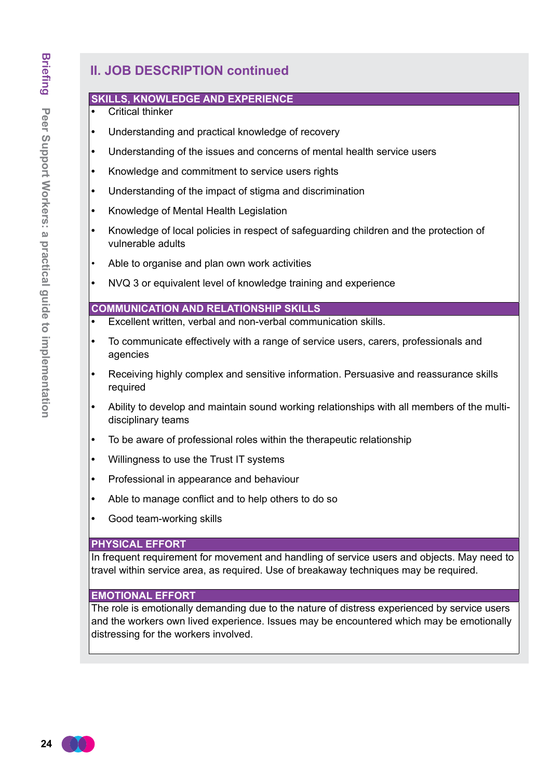#### **SKILLS, KNOWLEDGE AND EXPERIENCE**

- **Critical thinker**
- **•**  Understanding and practical knowledge of recovery
- **•**  Understanding of the issues and concerns of mental health service users
- **•**  Knowledge and commitment to service users rights
- **•**  Understanding of the impact of stigma and discrimination
- **•**  Knowledge of Mental Health Legislation
- **•**  Knowledge of local policies in respect of safeguarding children and the protection of vulnerable adults
- Able to organise and plan own work activities
- NVQ 3 or equivalent level of knowledge training and experience

#### **COMMUNICATION AND RELATIONSHIP SKILLS**

- **Excellent written, verbal and non-verbal communication skills.**
- **•**  To communicate effectively with a range of service users, carers, professionals and agencies
- Receiving highly complex and sensitive information. Persuasive and reassurance skills required
- Ability to develop and maintain sound working relationships with all members of the multidisciplinary teams
- To be aware of professional roles within the therapeutic relationship
- **•**  Willingness to use the Trust IT systems
- Professional in appearance and behaviour
- Able to manage conflict and to help others to do so
- **Good team-working skills**

#### **PHYSICAL EFFORT**

In frequent requirement for movement and handling of service users and objects. May need to travel within service area, as required. Use of breakaway techniques may be required.

#### **EMOTIONAL EFFORT**

The role is emotionally demanding due to the nature of distress experienced by service users and the workers own lived experience. Issues may be encountered which may be emotionally distressing for the workers involved.

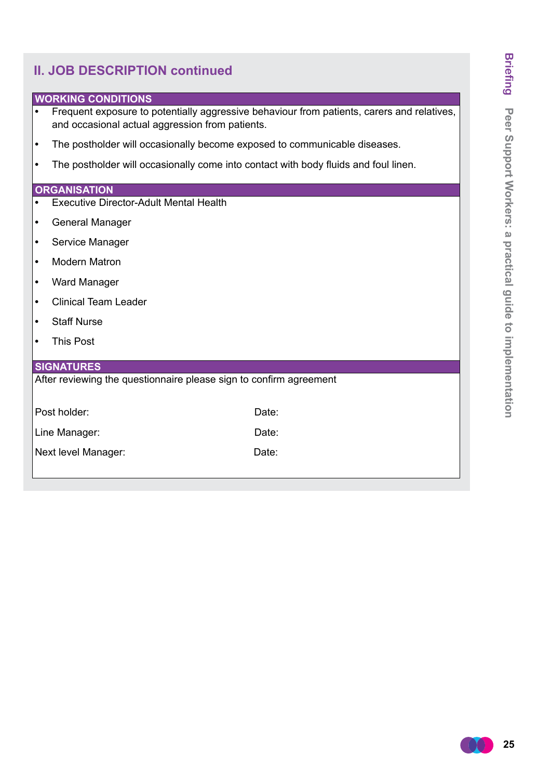#### **WORKING CONDITIONS**

- Frequent exposure to potentially aggressive behaviour from patients, carers and relatives, and occasional actual aggression from patients.
- **•**  The postholder will occasionally become exposed to communicable diseases.
- **•**  The postholder will occasionally come into contact with body fluids and foul linen.

#### **ORGANISATION**

- **Executive Director-Adult Mental Health**
- **•**  General Manager
- **•**  Service Manager
- **Modern Matron**
- **•**  Ward Manager
- **•**  Clinical Team Leader
- **•**  Staff Nurse
- **•**  This Post

#### **SIGNATURES**

After reviewing the questionnaire please sign to confirm agreement

| Post holder:        | Date: |
|---------------------|-------|
| Line Manager:       | Date: |
| Next level Manager: | Date: |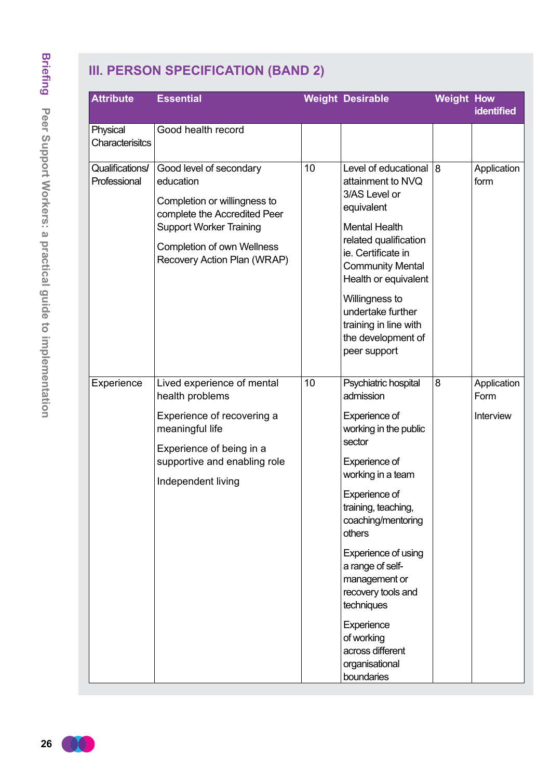# **III. PERSON SPECIFICATION (BAND 2)**

| <b>Attribute</b>                | <b>Essential</b>                                                                                                                                                                                           |    | <b>Weight Desirable</b>                                                                                                                                                                                                                                                                                                                                                             | <b>Weight How</b> |                                  |
|---------------------------------|------------------------------------------------------------------------------------------------------------------------------------------------------------------------------------------------------------|----|-------------------------------------------------------------------------------------------------------------------------------------------------------------------------------------------------------------------------------------------------------------------------------------------------------------------------------------------------------------------------------------|-------------------|----------------------------------|
|                                 |                                                                                                                                                                                                            |    |                                                                                                                                                                                                                                                                                                                                                                                     |                   | <b>identified</b>                |
| Physical<br>Characterisitcs     | Good health record                                                                                                                                                                                         |    |                                                                                                                                                                                                                                                                                                                                                                                     |                   |                                  |
| Qualifications/<br>Professional | Good level of secondary<br>education<br>Completion or willingness to<br>complete the Accredited Peer<br><b>Support Worker Training</b><br><b>Completion of own Wellness</b><br>Recovery Action Plan (WRAP) | 10 | Level of educational<br>attainment to NVQ<br>3/AS Level or<br>equivalent<br><b>Mental Health</b><br>related qualification<br>ie. Certificate in<br><b>Community Mental</b><br>Health or equivalent<br>Willingness to<br>undertake further<br>training in line with<br>the development of<br>peer support                                                                            | 8                 | Application<br>form              |
| Experience                      | Lived experience of mental<br>health problems<br>Experience of recovering a<br>meaningful life<br>Experience of being in a<br>supportive and enabling role<br>Independent living                           | 10 | Psychiatric hospital<br>admission<br>Experience of<br>working in the public<br>sector<br>Experience of<br>working in a team<br>Experience of<br>training, teaching,<br>coaching/mentoring<br>others<br>Experience of using<br>a range of self-<br>management or<br>recovery tools and<br>techniques<br>Experience<br>of working<br>across different<br>organisational<br>boundaries | 8                 | Application<br>Form<br>Interview |

 $\cup$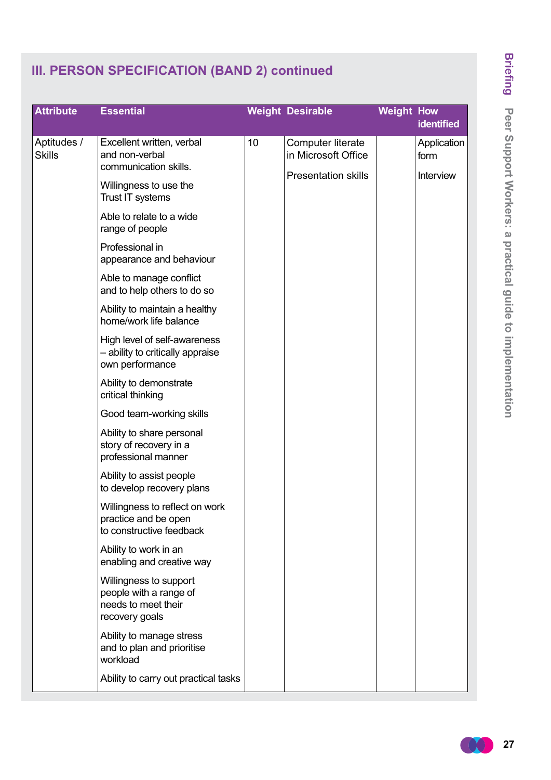# **III. PERSON SPECIFICATION (BAND 2) continued**

| <b>Attribute</b>             | <b>Essential</b>                                                                          |    | <b>Weight Desirable</b>                  | <b>Weight How</b> | <b>identified</b>          |  |           |  |  |
|------------------------------|-------------------------------------------------------------------------------------------|----|------------------------------------------|-------------------|----------------------------|--|-----------|--|--|
| Aptitudes /<br><b>Skills</b> | Excellent written, verbal<br>and non-verbal<br>communication skills.                      | 10 | Computer literate<br>in Microsoft Office |                   | Application<br>form        |  |           |  |  |
|                              | Willingness to use the<br>Trust IT systems                                                |    |                                          |                   | <b>Presentation skills</b> |  | Interview |  |  |
|                              | Able to relate to a wide<br>range of people                                               |    |                                          |                   |                            |  |           |  |  |
|                              | Professional in<br>appearance and behaviour                                               |    |                                          |                   |                            |  |           |  |  |
|                              | Able to manage conflict<br>and to help others to do so                                    |    |                                          |                   |                            |  |           |  |  |
|                              | Ability to maintain a healthy<br>home/work life balance                                   |    |                                          |                   |                            |  |           |  |  |
|                              | High level of self-awareness<br>- ability to critically appraise<br>own performance       |    |                                          |                   |                            |  |           |  |  |
|                              | Ability to demonstrate<br>critical thinking                                               |    |                                          |                   |                            |  |           |  |  |
|                              | Good team-working skills                                                                  |    |                                          |                   |                            |  |           |  |  |
|                              | Ability to share personal<br>story of recovery in a<br>professional manner                |    |                                          |                   |                            |  |           |  |  |
|                              | Ability to assist people<br>to develop recovery plans                                     |    |                                          |                   |                            |  |           |  |  |
|                              | Willingness to reflect on work<br>practice and be open<br>to constructive feedback        |    |                                          |                   |                            |  |           |  |  |
|                              | Ability to work in an<br>enabling and creative way                                        |    |                                          |                   |                            |  |           |  |  |
|                              | Willingness to support<br>people with a range of<br>needs to meet their<br>recovery goals |    |                                          |                   |                            |  |           |  |  |
|                              | Ability to manage stress<br>and to plan and prioritise<br>workload                        |    |                                          |                   |                            |  |           |  |  |
|                              | Ability to carry out practical tasks                                                      |    |                                          |                   |                            |  |           |  |  |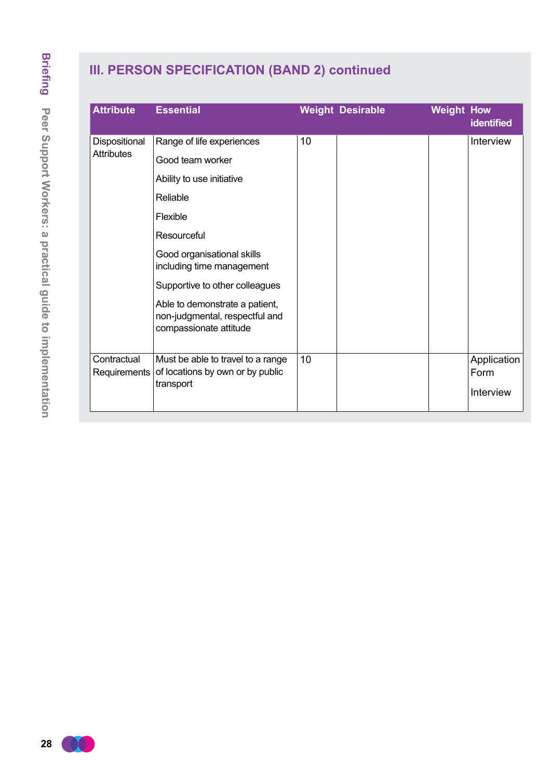# **III. PERSON SPECIFICATION (BAND 2) continued**

| <b>Attribute</b>            | <b>Essential</b>                                                                           |    | <b>Weight Desirable</b> | <b>Weight How</b> | <b>identified</b>   |
|-----------------------------|--------------------------------------------------------------------------------------------|----|-------------------------|-------------------|---------------------|
| Dispositional               | Range of life experiences                                                                  | 10 |                         |                   | Interview           |
| <b>Attributes</b>           | Good team worker                                                                           |    |                         |                   |                     |
|                             | Ability to use initiative                                                                  |    |                         |                   |                     |
|                             | Reliable                                                                                   |    |                         |                   |                     |
|                             | Flexible                                                                                   |    |                         |                   |                     |
|                             | Resourceful                                                                                |    |                         |                   |                     |
|                             | Good organisational skills<br>including time management                                    |    |                         |                   |                     |
|                             | Supportive to other colleagues                                                             |    |                         |                   |                     |
|                             | Able to demonstrate a patient,<br>non-judgmental, respectful and<br>compassionate attitude |    |                         |                   |                     |
| Contractual<br>Requirements | Must be able to travel to a range<br>of locations by own or by public                      | 10 |                         |                   | Application<br>Form |
|                             | transport                                                                                  |    |                         |                   | Interview           |

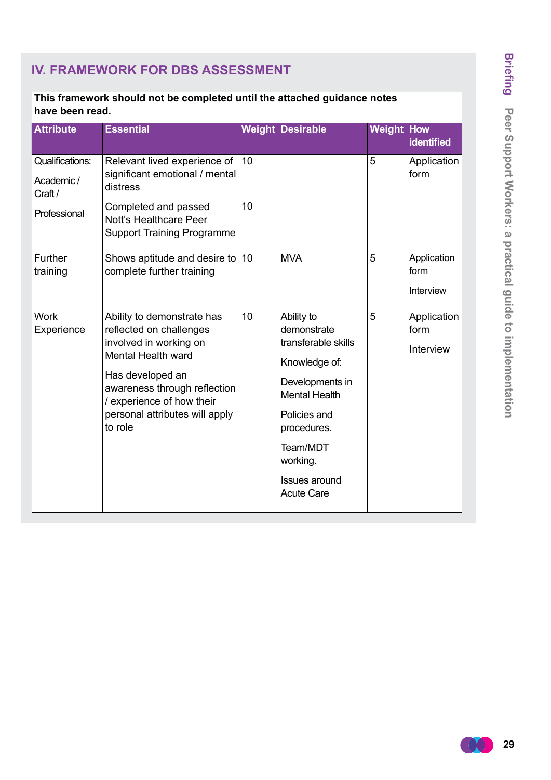# **Briefing** Peer Support Workers: a practical guide to implementation **Peer Support Workers: a practical guide to implementation**

# **IV. FRAMEWORK FOR DBS ASSESSMENT**

#### **This framework should not be completed until the attached guidance notes have been read.**

| <b>Attribute</b>                              | <b>Essential</b>                                                                                                                                                                                                                           |    | <b>Weight Desirable</b>                                                                                                                                             | <b>Weight How</b> | <b>identified</b>                |
|-----------------------------------------------|--------------------------------------------------------------------------------------------------------------------------------------------------------------------------------------------------------------------------------------------|----|---------------------------------------------------------------------------------------------------------------------------------------------------------------------|-------------------|----------------------------------|
| <b>Qualifications:</b><br>Academic/<br>Craft/ | Relevant lived experience of<br>significant emotional / mental<br>distress                                                                                                                                                                 | 10 |                                                                                                                                                                     | 5                 | Application<br>form              |
| Professional                                  | Completed and passed<br>Nott's Healthcare Peer<br><b>Support Training Programme</b>                                                                                                                                                        | 10 |                                                                                                                                                                     |                   |                                  |
| Further<br>training                           | Shows aptitude and desire to<br>complete further training                                                                                                                                                                                  | 10 | <b>MVA</b>                                                                                                                                                          | 5                 | Application<br>form<br>Interview |
| <b>Work</b><br>Experience                     | Ability to demonstrate has<br>reflected on challenges<br>involved in working on<br><b>Mental Health ward</b><br>Has developed an<br>awareness through reflection<br>/ experience of how their<br>personal attributes will apply<br>to role | 10 | Ability to<br>demonstrate<br>transferable skills<br>Knowledge of:<br>Developments in<br><b>Mental Health</b><br>Policies and<br>procedures.<br>Team/MDT<br>working. | 5                 | Application<br>form<br>Interview |
|                                               |                                                                                                                                                                                                                                            |    | <b>Issues around</b><br><b>Acute Care</b>                                                                                                                           |                   |                                  |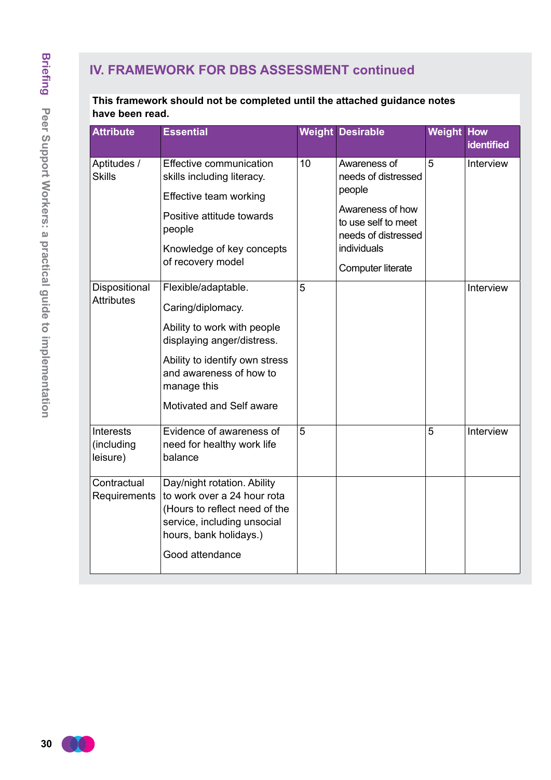# **IV. FRAMEWORK FOR DBS ASSESSMENT continued**

| <b>Attribute</b>                           | <b>Essential</b>                                                                                                                                                                                              |    | <b>Weight Desirable</b>                                                                            | <b>Weight How</b> | identified |
|--------------------------------------------|---------------------------------------------------------------------------------------------------------------------------------------------------------------------------------------------------------------|----|----------------------------------------------------------------------------------------------------|-------------------|------------|
| Aptitudes /<br><b>Skills</b>               | Effective communication<br>skills including literacy.                                                                                                                                                         | 10 | Awareness of<br>needs of distressed<br>people                                                      | 5                 | Interview  |
|                                            | Effective team working<br>Positive attitude towards<br>people<br>Knowledge of key concepts<br>of recovery model                                                                                               |    | Awareness of how<br>to use self to meet<br>needs of distressed<br>individuals<br>Computer literate |                   |            |
| Dispositional<br><b>Attributes</b>         | Flexible/adaptable.<br>Caring/diplomacy.<br>Ability to work with people<br>displaying anger/distress.<br>Ability to identify own stress<br>and awareness of how to<br>manage this<br>Motivated and Self aware | 5  |                                                                                                    |                   | Interview  |
| <b>Interests</b><br>(including<br>leisure) | Evidence of awareness of<br>need for healthy work life<br>balance                                                                                                                                             | 5  |                                                                                                    | 5                 | Interview  |
| Contractual<br>Requirements                | Day/night rotation. Ability<br>to work over a 24 hour rota<br>(Hours to reflect need of the<br>service, including unsocial<br>hours, bank holidays.)<br>Good attendance                                       |    |                                                                                                    |                   |            |

**This framework should not be completed until the attached guidance notes have been read.**

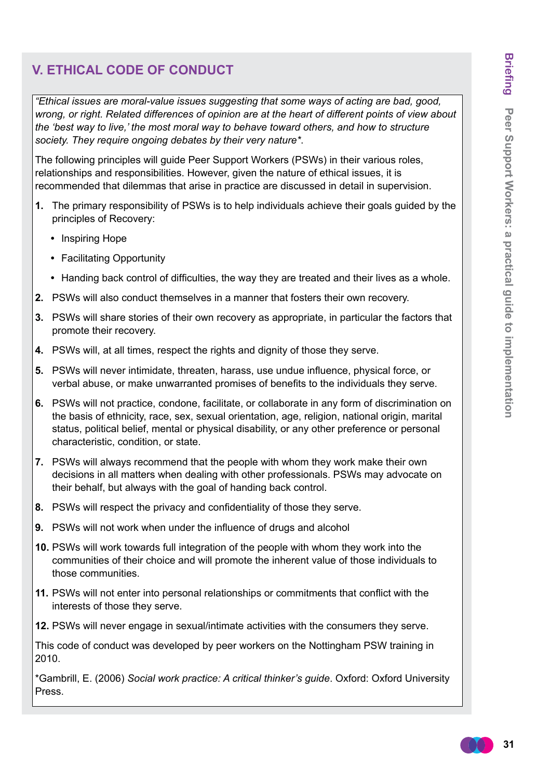## **V. ETHICAL CODE OF CONDUCT**

*"Ethical issues are moral-value issues suggesting that some ways of acting are bad, good, wrong, or right. Related differences of opinion are at the heart of different points of view about the 'best way to live,' the most moral way to behave toward others, and how to structure society. They require ongoing debates by their very nature\**.

The following principles will guide Peer Support Workers (PSWs) in their various roles, relationships and responsibilities. However, given the nature of ethical issues, it is recommended that dilemmas that arise in practice are discussed in detail in supervision.

- **1.** The primary responsibility of PSWs is to help individuals achieve their goals guided by the principles of Recovery:
	- **•**  Inspiring Hope
	- **•**  Facilitating Opportunity
	- Handing back control of difficulties, the way they are treated and their lives as a whole.
- **2.** PSWs will also conduct themselves in a manner that fosters their own recovery.
- **3.** PSWs will share stories of their own recovery as appropriate, in particular the factors that promote their recovery.
- **4.** PSWs will, at all times, respect the rights and dignity of those they serve.
- **5.** PSWs will never intimidate, threaten, harass, use undue influence, physical force, or verbal abuse, or make unwarranted promises of benefits to the individuals they serve.
- **6.** PSWs will not practice, condone, facilitate, or collaborate in any form of discrimination on the basis of ethnicity, race, sex, sexual orientation, age, religion, national origin, marital status, political belief, mental or physical disability, or any other preference or personal characteristic, condition, or state.
- **7.** PSWs will always recommend that the people with whom they work make their own decisions in all matters when dealing with other professionals. PSWs may advocate on their behalf, but always with the goal of handing back control.
- **8.** PSWs will respect the privacy and confidentiality of those they serve.
- **9.** PSWs will not work when under the influence of drugs and alcohol
- **10.** PSWs will work towards full integration of the people with whom they work into the communities of their choice and will promote the inherent value of those individuals to those communities.
- **11.** PSWs will not enter into personal relationships or commitments that conflict with the interests of those they serve.
- **12.** PSWs will never engage in sexual/intimate activities with the consumers they serve.

This code of conduct was developed by peer workers on the Nottingham PSW training in 2010.

\*Gambrill, E. (2006) *Social work practice: A critical thinker's guide*. Oxford: Oxford University Press.